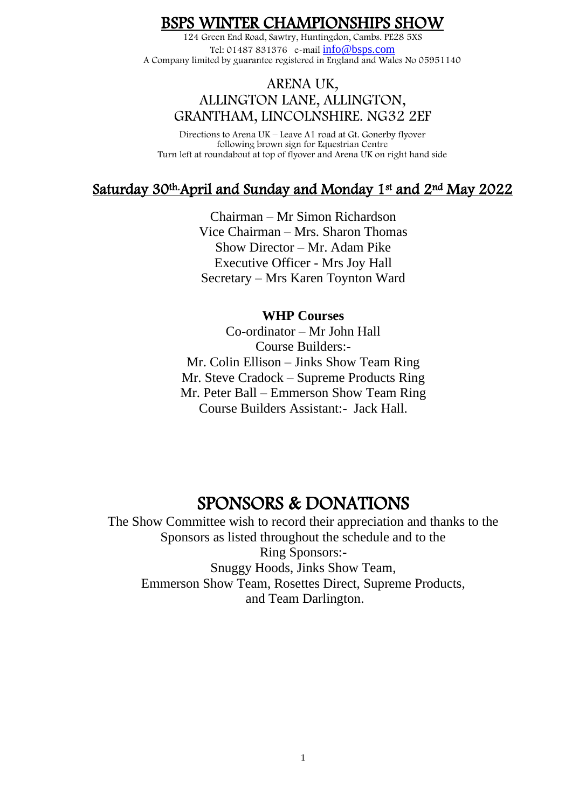### BSPS WINTER CHAMPIONSHIPS SHOW

124 Green End Road, Sawtry, Huntingdon, Cambs. PE28 5XS Tel: 01487 831376 e-mail [info@bsps.com](mailto:info@bsps.com) A Company limited by guarantee registered in England and Wales No 05951140

#### ARENA UK, ALLINGTON LANE, ALLINGTON, GRANTHAM, LINCOLNSHIRE. NG32 2EF

Directions to Arena UK – Leave A1 road at Gt. Gonerby flyover following brown sign for Equestrian Centre Turn left at roundabout at top of flyover and Arena UK on right hand side

## Saturday 30th.April and Sunday and Monday 1st and 2nd May 2022

Chairman – Mr Simon Richardson Vice Chairman – Mrs. Sharon Thomas Show Director – Mr. Adam Pike Executive Officer - Mrs Joy Hall Secretary – Mrs Karen Toynton Ward

#### **WHP Courses**

Co-ordinator – Mr John Hall Course Builders:- Mr. Colin Ellison – Jinks Show Team Ring Mr. Steve Cradock – Supreme Products Ring Mr. Peter Ball – Emmerson Show Team Ring Course Builders Assistant:- Jack Hall.

## SPONSORS & DONATIONS

The Show Committee wish to record their appreciation and thanks to the Sponsors as listed throughout the schedule and to the Ring Sponsors:- Snuggy Hoods, Jinks Show Team, Emmerson Show Team, Rosettes Direct, Supreme Products, and Team Darlington.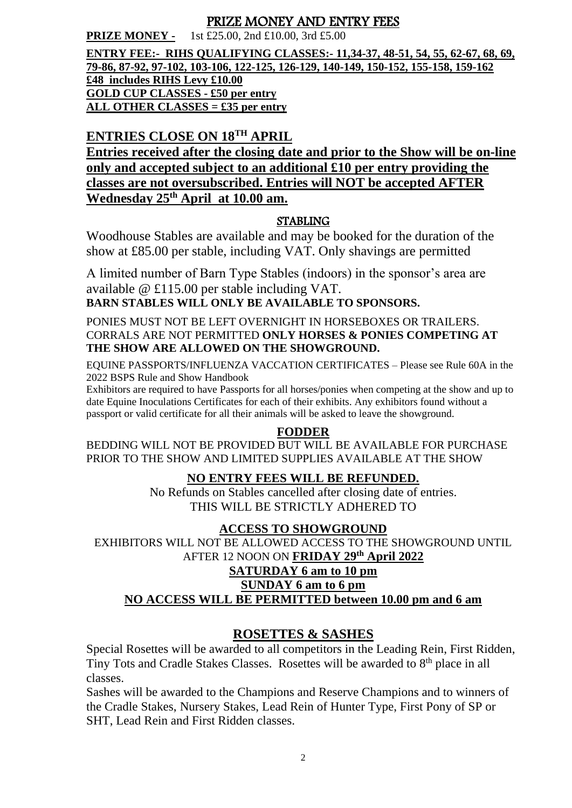#### PRIZE MONEY AND ENTRY FEES

**PRIZE MONEY -** 1st £25.00, 2nd £10.00, 3rd £5.00

**ENTRY FEE:- RIHS QUALIFYING CLASSES:- 11,34-37, 48-51, 54, 55, 62-67, 68, 69, 79-86, 87-92, 97-102, 103-106, 122-125, 126-129, 140-149, 150-152, 155-158, 159-162 £48 includes RIHS Levy £10.00 GOLD CUP CLASSES - £50 per entry ALL OTHER CLASSES = £35 per entry**

## **ENTRIES CLOSE ON 18TH APRIL**

**Entries received after the closing date and prior to the Show will be on-line only and accepted subject to an additional £10 per entry providing the classes are not oversubscribed. Entries will NOT be accepted AFTER Wednesday 25th April at 10.00 am.** 

#### **STABLING**

Woodhouse Stables are available and may be booked for the duration of the show at £85.00 per stable, including VAT. Only shavings are permitted

A limited number of Barn Type Stables (indoors) in the sponsor's area are available @ £115.00 per stable including VAT. **BARN STABLES WILL ONLY BE AVAILABLE TO SPONSORS.** 

PONIES MUST NOT BE LEFT OVERNIGHT IN HORSEBOXES OR TRAILERS. CORRALS ARE NOT PERMITTED **ONLY HORSES & PONIES COMPETING AT THE SHOW ARE ALLOWED ON THE SHOWGROUND.**

EQUINE PASSPORTS/INFLUENZA VACCATION CERTIFICATES – Please see Rule 60A in the 2022 BSPS Rule and Show Handbook

Exhibitors are required to have Passports for all horses/ponies when competing at the show and up to date Equine Inoculations Certificates for each of their exhibits. Any exhibitors found without a passport or valid certificate for all their animals will be asked to leave the showground.

#### **FODDER**

BEDDING WILL NOT BE PROVIDED BUT WILL BE AVAILABLE FOR PURCHASE PRIOR TO THE SHOW AND LIMITED SUPPLIES AVAILABLE AT THE SHOW

#### **NO ENTRY FEES WILL BE REFUNDED.**

No Refunds on Stables cancelled after closing date of entries. THIS WILL BE STRICTLY ADHERED TO

#### **ACCESS TO SHOWGROUND**

EXHIBITORS WILL NOT BE ALLOWED ACCESS TO THE SHOWGROUND UNTIL AFTER 12 NOON ON **FRIDAY 29th April 2022 SATURDAY 6 am to 10 pm** 

#### **SUNDAY 6 am to 6 pm**

**NO ACCESS WILL BE PERMITTED between 10.00 pm and 6 am**

#### **ROSETTES & SASHES**

Special Rosettes will be awarded to all competitors in the Leading Rein, First Ridden, Tiny Tots and Cradle Stakes Classes. Rosettes will be awarded to 8<sup>th</sup> place in all classes.

Sashes will be awarded to the Champions and Reserve Champions and to winners of the Cradle Stakes, Nursery Stakes, Lead Rein of Hunter Type, First Pony of SP or SHT, Lead Rein and First Ridden classes.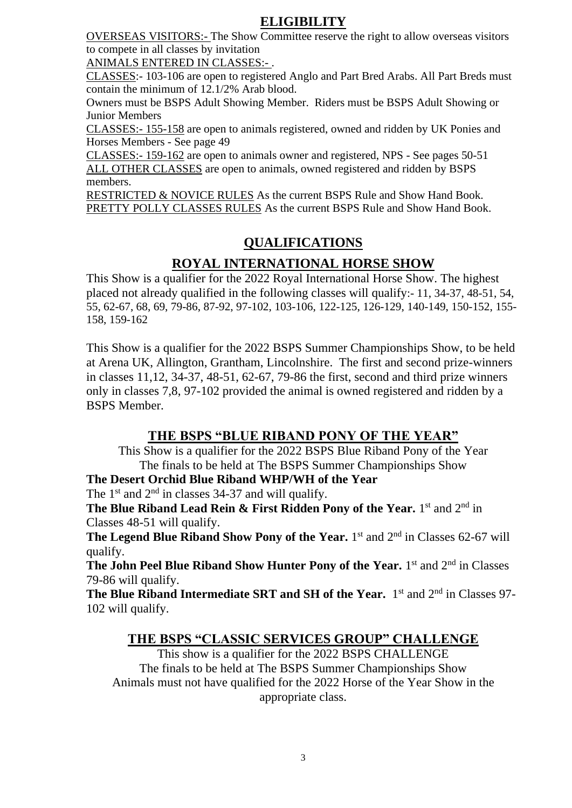### **ELIGIBILITY**

OVERSEAS VISITORS:- The Show Committee reserve the right to allow overseas visitors to compete in all classes by invitation

ANIMALS ENTERED IN CLASSES:- .

CLASSES:- 103-106 are open to registered Anglo and Part Bred Arabs. All Part Breds must contain the minimum of 12.1/2% Arab blood.

Owners must be BSPS Adult Showing Member. Riders must be BSPS Adult Showing or Junior Members

CLASSES:- 155-158 are open to animals registered, owned and ridden by UK Ponies and Horses Members - See page 49

CLASSES:- 159-162 are open to animals owner and registered, NPS - See pages 50-51 ALL OTHER CLASSES are open to animals, owned registered and ridden by BSPS members.

RESTRICTED & NOVICE RULES As the current BSPS Rule and Show Hand Book. PRETTY POLLY CLASSES RULES As the current BSPS Rule and Show Hand Book.

## **QUALIFICATIONS**

### **ROYAL INTERNATIONAL HORSE SHOW**

This Show is a qualifier for the 2022 Royal International Horse Show. The highest placed not already qualified in the following classes will qualify:- 11, 34-37, 48-51, 54, 55, 62-67, 68, 69, 79-86, 87-92, 97-102, 103-106, 122-125, 126-129, 140-149, 150-152, 155- 158, 159-162

This Show is a qualifier for the 2022 BSPS Summer Championships Show, to be held at Arena UK, Allington, Grantham, Lincolnshire. The first and second prize-winners in classes 11,12, 34-37, 48-51, 62-67, 79-86 the first, second and third prize winners only in classes 7,8, 97-102 provided the animal is owned registered and ridden by a BSPS Member.

#### **THE BSPS "BLUE RIBAND PONY OF THE YEAR"**

This Show is a qualifier for the 2022 BSPS Blue Riband Pony of the Year The finals to be held at The BSPS Summer Championships Show

**The Desert Orchid Blue Riband WHP/WH of the Year** 

The  $1<sup>st</sup>$  and  $2<sup>nd</sup>$  in classes 34-37 and will qualify.

**The Blue Riband Lead Rein & First Ridden Pony of the Year.** 1<sup>st</sup> and 2<sup>nd</sup> in Classes 48-51 will qualify.

The Legend Blue Riband Show Pony of the Year. 1<sup>st</sup> and 2<sup>nd</sup> in Classes 62-67 will qualify.

**The John Peel Blue Riband Show Hunter Pony of the Year.** 1<sup>st</sup> and 2<sup>nd</sup> in Classes 79-86 will qualify.

The Blue Riband Intermediate SRT and SH of the Year. 1<sup>st</sup> and 2<sup>nd</sup> in Classes 97-102 will qualify.

#### **THE BSPS "CLASSIC SERVICES GROUP" CHALLENGE**

This show is a qualifier for the 2022 BSPS CHALLENGE The finals to be held at The BSPS Summer Championships Show Animals must not have qualified for the 2022 Horse of the Year Show in the appropriate class.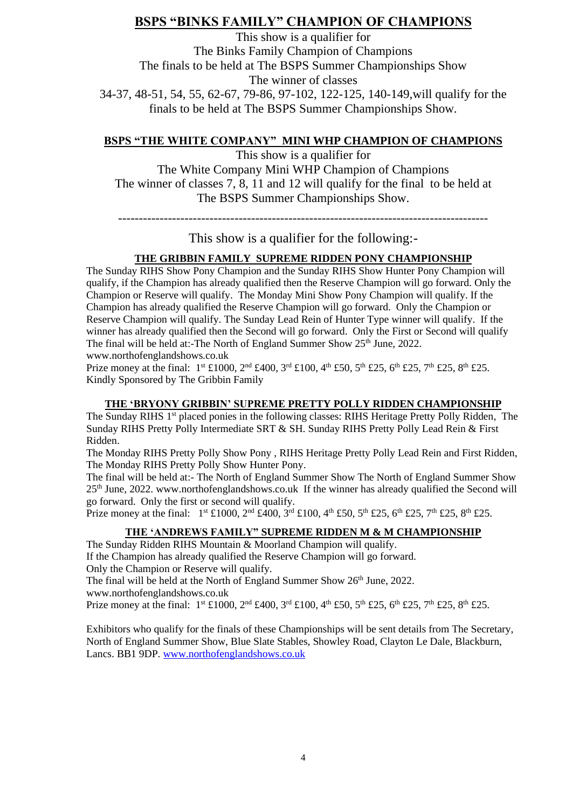#### **BSPS "BINKS FAMILY" CHAMPION OF CHAMPIONS**

This show is a qualifier for The Binks Family Champion of Champions The finals to be held at The BSPS Summer Championships Show The winner of classes 34-37, 48-51, 54, 55, 62-67, 79-86, 97-102, 122-125, 140-149,will qualify for the finals to be held at The BSPS Summer Championships Show.

#### **BSPS "THE WHITE COMPANY" MINI WHP CHAMPION OF CHAMPIONS**

This show is a qualifier for The White Company Mini WHP Champion of Champions The winner of classes 7, 8, 11 and 12 will qualify for the final to be held at The BSPS Summer Championships Show.

-----------------------------------------------------------------------------------------

This show is a qualifier for the following:-

#### **THE GRIBBIN FAMILY SUPREME RIDDEN PONY CHAMPIONSHIP**

The Sunday RIHS Show Pony Champion and the Sunday RIHS Show Hunter Pony Champion will qualify, if the Champion has already qualified then the Reserve Champion will go forward. Only the Champion or Reserve will qualify. The Monday Mini Show Pony Champion will qualify. If the Champion has already qualified the Reserve Champion will go forward. Only the Champion or Reserve Champion will qualify. The Sunday Lead Rein of Hunter Type winner will qualify. If the winner has already qualified then the Second will go forward. Only the First or Second will qualify The final will be held at:-The North of England Summer Show 25<sup>th</sup> June, 2022. www.northofenglandshows.co.uk

Prize money at the final:  $1^{st}$  £1000,  $2^{nd}$  £400,  $3^{rd}$  £100,  $4^{th}$  £50,  $5^{th}$  £25,  $6^{th}$  £25,  $7^{th}$  £25,  $8^{th}$  £25. Kindly Sponsored by The Gribbin Family

#### **THE 'BRYONY GRIBBIN' SUPREME PRETTY POLLY RIDDEN CHAMPIONSHIP**

The Sunday RIHS 1st placed ponies in the following classes: RIHS Heritage Pretty Polly Ridden, The Sunday RIHS Pretty Polly Intermediate SRT & SH. Sunday RIHS Pretty Polly Lead Rein & First Ridden.

The Monday RIHS Pretty Polly Show Pony , RIHS Heritage Pretty Polly Lead Rein and First Ridden, The Monday RIHS Pretty Polly Show Hunter Pony.

The final will be held at:- The North of England Summer Show The North of England Summer Show 25th June, 2022. www.northofenglandshows.co.uk If the winner has already qualified the Second will go forward. Only the first or second will qualify.

Prize money at the final:  $1^{st}$  £1000,  $2^{nd}$  £400,  $3^{rd}$  £100,  $4^{th}$  £50,  $5^{th}$  £25,  $6^{th}$  £25,  $7^{th}$  £25,  $8^{th}$  £25.

#### **THE 'ANDREWS FAMILY" SUPREME RIDDEN M & M CHAMPIONSHIP**

The Sunday Ridden RIHS Mountain & Moorland Champion will qualify.

If the Champion has already qualified the Reserve Champion will go forward. Only the Champion or Reserve will qualify.

The final will be held at the North of England Summer Show 26<sup>th</sup> June, 2022.

www.northofenglandshows.co.uk

Prize money at the final:  $1^{st} \text{£}1000$ ,  $2^{nd} \text{£}400$ ,  $3^{rd} \text{£}100$ ,  $4^{th} \text{£}50$ ,  $5^{th} \text{£}25$ ,  $6^{th} \text{£}25$ ,  $7^{th} \text{£}25$ ,  $8^{th} \text{£}25$ .

Exhibitors who qualify for the finals of these Championships will be sent details from The Secretary, North of England Summer Show, Blue Slate Stables, Showley Road, Clayton Le Dale, Blackburn, Lancs. BB1 9DP[. www.northofenglandshows.co.uk](http://www.northofenglandshows.co.uk/)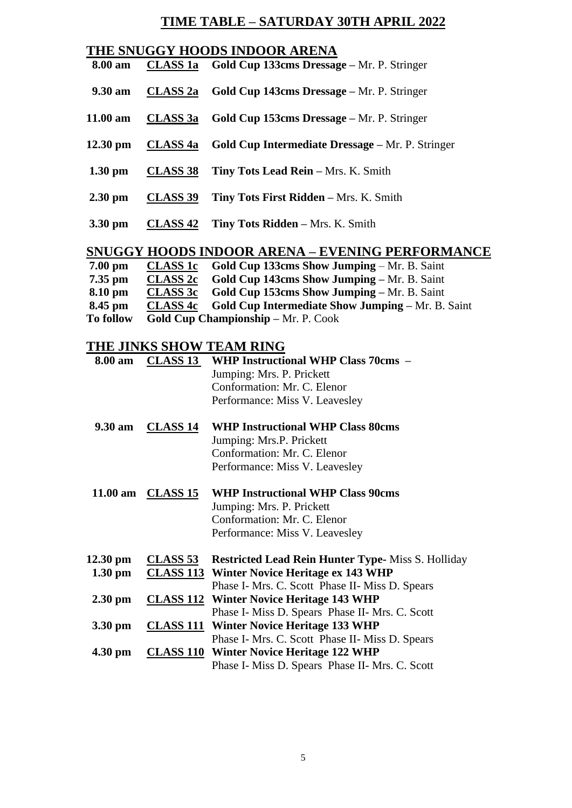## **TIME TABLE – SATURDAY 30TH APRIL 2022**

|                    |                 | THE SNUGGY HOODS INDOOR ARENA                                    |
|--------------------|-----------------|------------------------------------------------------------------|
| 8.00 am            |                 | CLASS 1a Gold Cup 133cms Dressage – Mr. P. Stringer              |
| $9.30 \text{ am}$  |                 | <b>CLASS 2a</b> Gold Cup 143cms Dressage – Mr. P. Stringer       |
| $11.00 \text{ am}$ |                 | CLASS 3a Gold Cup 153cms Dressage – Mr. P. Stringer              |
| $12.30 \text{ pm}$ |                 | <b>CLASS 4a</b> Gold Cup Intermediate Dressage – Mr. P. Stringer |
| $1.30 \text{ pm}$  |                 | <b>CLASS 38</b> Tiny Tots Lead Rein – Mrs. K. Smith              |
| $2.30 \text{ pm}$  | <b>CLASS 39</b> | Tiny Tots First Ridden - Mrs. K. Smith                           |
| 3.30 pm            |                 | <b>CLASS 42</b> Tiny Tots Ridden – Mrs. K. Smith                 |
|                    |                 | <b>SNUGGY HOODS INDOOR ARENA – EVENING PERFORMANCE</b>           |
| $7.00$ pm          |                 | <b>CLASS 1c</b> Gold Cup 133cms Show Jumping – Mr. B. Saint      |

| <b>To follow</b> |                 | <b>Gold Cup Championship – Mr. P. Cook</b>                        |
|------------------|-----------------|-------------------------------------------------------------------|
| 8.45 pm          |                 | <b>CLASS 4c</b> Gold Cup Intermediate Show Jumping – Mr. B. Saint |
| 8.10 pm          |                 | <b>CLASS 3c</b> Gold Cup 153cms Show Jumping – Mr. B. Saint       |
| $7.35$ pm        | <b>CLASS 2c</b> | <b>Gold Cup 143cms Show Jumping – Mr. B. Saint</b>                |
| $7.00$ pm        |                 | CLASS IC Gold Cup 133cms Show Jumping – Mr. B. Saint              |

## **THE JINKS SHOW TEAM RING**

| 8.00 am           | <b>CLASS 13</b>   | <b>WHP Instructional WHP Class 70cms -</b><br>Jumping: Mrs. P. Prickett<br>Conformation: Mr. C. Elenor<br>Performance: Miss V. Leavesley |
|-------------------|-------------------|------------------------------------------------------------------------------------------------------------------------------------------|
| 9.30 am           | <b>CLASS 14</b>   | <b>WHP Instructional WHP Class 80cms</b><br>Jumping: Mrs.P. Prickett<br>Conformation: Mr. C. Elenor<br>Performance: Miss V. Leavesley    |
|                   | 11.00 am CLASS 15 | <b>WHP Instructional WHP Class 90cms</b><br>Jumping: Mrs. P. Prickett<br>Conformation: Mr. C. Elenor<br>Performance: Miss V. Leavesley   |
| 12.30 pm          | <b>CLASS 53</b>   | <b>Restricted Lead Rein Hunter Type-Miss S. Holliday</b>                                                                                 |
| $1.30 \text{ pm}$ |                   | <b>CLASS 113 Winter Novice Heritage ex 143 WHP</b>                                                                                       |
|                   |                   | Phase I- Mrs. C. Scott Phase II- Miss D. Spears                                                                                          |
| $2.30$ pm         |                   | <b>CLASS 112</b> Winter Novice Heritage 143 WHP                                                                                          |
|                   |                   | Phase I- Miss D. Spears Phase II- Mrs. C. Scott                                                                                          |
| 3.30 pm           |                   | <b>CLASS 111</b> Winter Novice Heritage 133 WHP                                                                                          |
|                   |                   | Phase I- Mrs. C. Scott Phase II- Miss D. Spears                                                                                          |
| $4.30 \text{ pm}$ |                   | <b>CLASS 110</b> Winter Novice Heritage 122 WHP                                                                                          |
|                   |                   | Phase I- Miss D. Spears Phase II- Mrs. C. Scott                                                                                          |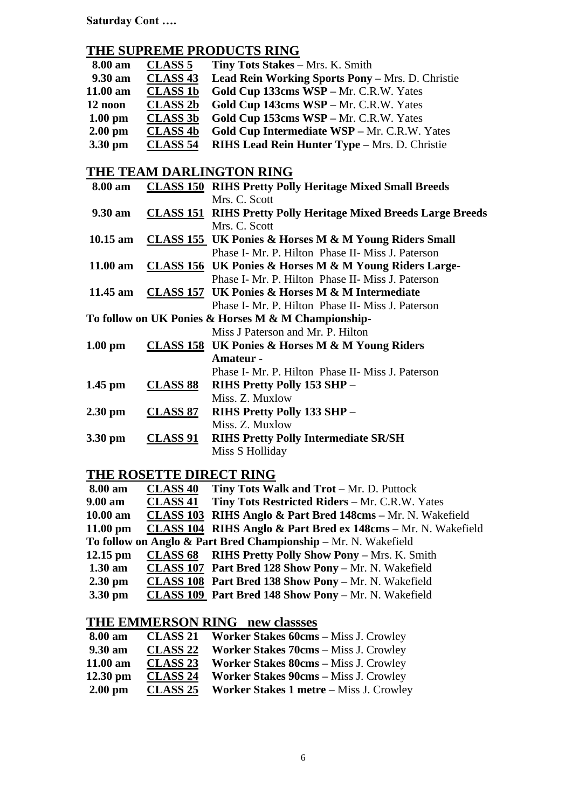**Saturday Cont ….**

### **THE SUPREME PRODUCTS RING**

| 8.00 am           | <b>CLASS 5</b>  | Tiny Tots Stakes - Mrs. K. Smith                                      |
|-------------------|-----------------|-----------------------------------------------------------------------|
| 9.30 am           | <b>CLASS 43</b> | <b>Lead Rein Working Sports Pony – Mrs. D. Christie</b>               |
| $11.00$ am        | <b>CLASS 1b</b> | Gold Cup 133cms WSP - Mr. C.R.W. Yates                                |
| 12 noon           | <b>CLASS 2b</b> | Gold Cup 143cms WSP - Mr. C.R.W. Yates                                |
| $1.00$ pm         | <b>CLASS 3b</b> | Gold Cup 153cms WSP - Mr. C.R.W. Yates                                |
| $2.00$ pm         | <b>CLASS 4b</b> | Gold Cup Intermediate WSP - Mr. C.R.W. Yates                          |
| 3.30 pm           | <b>CLASS 54</b> | RIHS Lead Rein Hunter Type - Mrs. D. Christie                         |
|                   |                 |                                                                       |
|                   |                 | THE TEAM DARLINGTON RING                                              |
| 8.00 am           |                 | <b>CLASS 150 RIHS Pretty Polly Heritage Mixed Small Breeds</b>        |
|                   |                 | Mrs. C. Scott                                                         |
| $9.30 \text{ am}$ |                 | <b>CLASS 151 RIHS Pretty Polly Heritage Mixed Breeds Large Breeds</b> |
|                   |                 | Mrs. C. Scott                                                         |
| $10.15$ am        |                 | <b>CLASS 155 UK Ponies &amp; Horses M &amp; M Young Riders Small</b>  |
|                   |                 | Phase I- Mr. P. Hilton Phase II- Miss J. Paterson                     |
| 11.00 am          |                 | CLASS 156 UK Ponies & Horses M & M Young Riders Large-                |
|                   |                 | Phase I- Mr. P. Hilton Phase II- Miss J. Paterson                     |
| 11.45 am          |                 | <b>CLASS 157 UK Ponies &amp; Horses M &amp; M Intermediate</b>        |
|                   |                 | Phase I- Mr. P. Hilton Phase II- Miss J. Paterson                     |
|                   |                 | To follow on UK Ponies & Horses M & M Championship-                   |
|                   |                 | Miss J Paterson and Mr. P. Hilton                                     |
| $1.00$ pm         |                 | <b>CLASS 158</b> UK Ponies & Horses M & M Young Riders                |
|                   |                 | <b>Amateur -</b>                                                      |
|                   |                 | Phase I- Mr. P. Hilton Phase II- Miss J. Paterson                     |
| $1.45$ pm         | <b>CLASS 88</b> | RIHS Pretty Polly 153 SHP -                                           |
|                   |                 | Miss. Z. Muxlow                                                       |
| $2.30$ pm         | <b>CLASS 87</b> | RIHS Pretty Polly 133 SHP -                                           |
|                   |                 | Miss. Z. Muxlow                                                       |
| 3.30 pm           | <b>CLASS 91</b> | <b>RIHS Pretty Polly Intermediate SR/SH</b>                           |
|                   |                 | Miss S Holliday                                                       |

#### **THE ROSETTE DIRECT RING**

| <b>8.00 am</b>     | <b>CLASS 40</b> | Tiny Tots Walk and Trot – Mr. D. Puttock                       |
|--------------------|-----------------|----------------------------------------------------------------|
| 9.00 am            | <b>CLASS 41</b> | Tiny Tots Restricted Riders - Mr. C.R.W. Yates                 |
| 10.00 am           |                 | CLASS 103 RIHS Anglo & Part Bred 148cms - Mr. N. Wakefield     |
| $11.00 \text{ pm}$ |                 | CLASS 104 RIHS Anglo & Part Bred ex 148cms – Mr. N. Wakefield  |
|                    |                 | To follow on Anglo & Part Bred Championship – Mr. N. Wakefield |
| $12.15$ pm         |                 | <b>CLASS 68</b> RIHS Pretty Polly Show Pony - Mrs. K. Smith    |
| $1.30 \text{ am}$  |                 | CLASS 107 Part Bred 128 Show Pony - Mr. N. Wakefield           |
| $2.30 \text{ pm}$  |                 | <b>CLASS 108 Part Bred 138 Show Pony - Mr. N. Wakefield</b>    |
| $3.30$ pm          |                 | <b>CLASS 109 Part Bred 148 Show Pony - Mr. N. Wakefield</b>    |

### **THE EMMERSON RING new classses**

| 8.00 am            | <b>CLASS 21</b> | <b>Worker Stakes 60cms – Miss J. Crowley</b> |
|--------------------|-----------------|----------------------------------------------|
| 9.30 am            | <b>CLASS 22</b> | <b>Worker Stakes 70cms – Miss J. Crowley</b> |
| 11.00 am           | <b>CLASS 23</b> | <b>Worker Stakes 80cms – Miss J. Crowley</b> |
| $12.30 \text{ pm}$ | <b>CLASS 24</b> | <b>Worker Stakes 90cms - Miss J. Crowley</b> |
| $2.00 \text{ pm}$  | <b>CLASS 25</b> | Worker Stakes 1 metre - Miss J. Crowley      |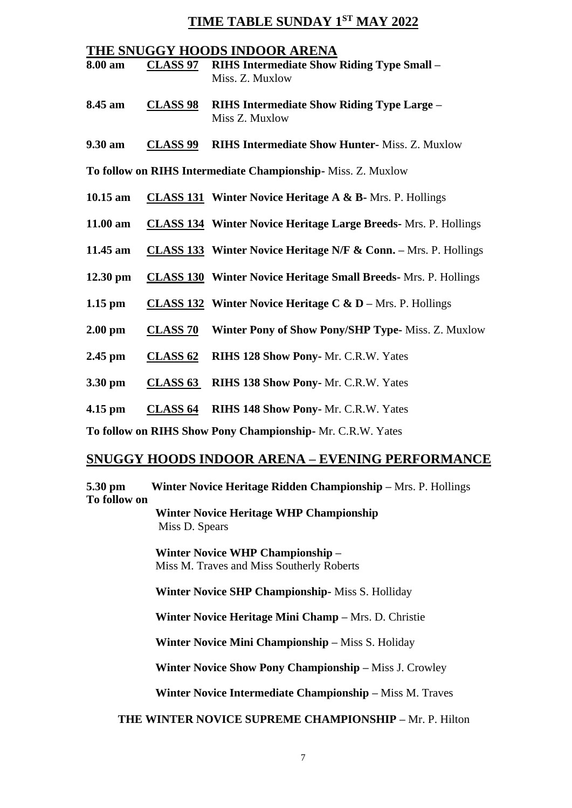#### **TIME TABLE SUNDAY 1ST MAY 2022**

#### **THE SNUGGY HOODS INDOOR ARENA**

- **8.00 am CLASS 97 RIHS Intermediate Show Riding Type Small –** Miss. Z. Muxlow
- **8.45 am CLASS 98 RIHS Intermediate Show Riding Type Large –** Miss Z. Muxlow
- **9.30 am CLASS 99 RIHS Intermediate Show Hunter-** Miss. Z. Muxlow

**To follow on RIHS Intermediate Championship-** Miss. Z. Muxlow

- **10.15 am CLASS 131 Winter Novice Heritage A & B-** Mrs. P. Hollings
- **11.00 am CLASS 134 Winter Novice Heritage Large Breeds-** Mrs. P. Hollings
- **11.45 am CLASS 133 Winter Novice Heritage N/F & Conn. –** Mrs. P. Hollings
- **12.30 pm CLASS 130 Winter Novice Heritage Small Breeds-** Mrs. P. Hollings
- **1.15 pm CLASS 132 Winter Novice Heritage C & D –** Mrs. P. Hollings
- **2.00 pm CLASS 70 Winter Pony of Show Pony/SHP Type-** Miss. Z. Muxlow
- **2.45 pm CLASS 62 RIHS 128 Show Pony-** Mr. C.R.W. Yates
- **3.30 pm CLASS 63 RIHS 138 Show Pony-** Mr. C.R.W. Yates
- **4.15 pm CLASS 64 RIHS 148 Show Pony-** Mr. C.R.W. Yates

**To follow on RIHS Show Pony Championship-** Mr. C.R.W. Yates

#### **SNUGGY HOODS INDOOR ARENA – EVENING PERFORMANCE**

**5.30 pm Winter Novice Heritage Ridden Championship –** Mrs. P. Hollings **To follow on**

> **Winter Novice Heritage WHP Championship** Miss D. Spears

 **Winter Novice WHP Championship –** Miss M. Traves and Miss Southerly Roberts

 **Winter Novice SHP Championship-** Miss S. Holliday

 **Winter Novice Heritage Mini Champ –** Mrs. D. Christie

 **Winter Novice Mini Championship –** Miss S. Holiday

 **Winter Novice Show Pony Championship –** Miss J. Crowley

 **Winter Novice Intermediate Championship –** Miss M. Traves

#### **THE WINTER NOVICE SUPREME CHAMPIONSHIP –** Mr. P. Hilton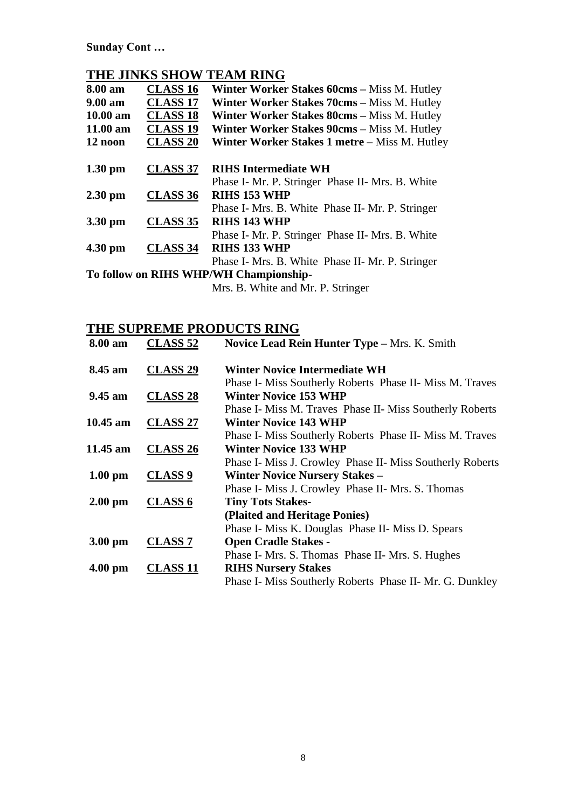**Sunday Cont …**

## **THE JINKS SHOW TEAM RING**

| 8.00 am           | <b>CLASS 16</b> | Winter Worker Stakes 60cms - Miss M. Hutley        |
|-------------------|-----------------|----------------------------------------------------|
| $9.00 \text{ am}$ | <b>CLASS 17</b> | <b>Winter Worker Stakes 70cms – Miss M. Hutley</b> |
| $10.00$ am        | <b>CLASS 18</b> | Winter Worker Stakes 80cms - Miss M. Hutley        |
| $11.00$ am        | <b>CLASS 19</b> | <b>Winter Worker Stakes 90cms – Miss M. Hutley</b> |
| 12 noon           | <b>CLASS 20</b> | Winter Worker Stakes 1 metre – Miss M. Hutley      |
| $1.30$ pm         | <b>CLASS 37</b> | <b>RIHS Intermediate WH</b>                        |
|                   |                 | Phase I- Mr. P. Stringer Phase II- Mrs. B. White   |
| $2.30$ pm         | CLASS 36        | <b>RIHS 153 WHP</b>                                |
|                   |                 | Phase I- Mrs. B. White Phase II- Mr. P. Stringer   |
| 3.30 pm           | <b>CLASS 35</b> | <b>RIHS 143 WHP</b>                                |
|                   |                 | Phase I- Mr. P. Stringer Phase II- Mrs. B. White   |
| $4.30$ pm         | <b>CLASS 34</b> | <b>RIHS 133 WHP</b>                                |
|                   |                 | Phase I- Mrs. B. White Phase II- Mr. P. Stringer   |
|                   |                 | To follow on RIHS WHP/WH Championship-             |

Mrs. B. White and Mr. P. Stringer

### **THE SUPREME PRODUCTS RING**

| 8.00 am           | <b>CLASS 52</b>     | Novice Lead Rein Hunter Type - Mrs. K. Smith              |
|-------------------|---------------------|-----------------------------------------------------------|
| 8.45 am           | CLASS <sub>29</sub> | <b>Winter Novice Intermediate WH</b>                      |
|                   |                     | Phase I- Miss Southerly Roberts Phase II- Miss M. Traves  |
| $9.45$ am         | <b>CLASS 28</b>     | <b>Winter Novice 153 WHP</b>                              |
|                   |                     | Phase I- Miss M. Traves Phase II- Miss Southerly Roberts  |
|                   | 10.45 am CLASS 27   | <b>Winter Novice 143 WHP</b>                              |
|                   |                     | Phase I- Miss Southerly Roberts Phase II- Miss M. Traves  |
| 11.45 am          | <b>CLASS 26</b>     | <b>Winter Novice 133 WHP</b>                              |
|                   |                     | Phase I- Miss J. Crowley Phase II- Miss Southerly Roberts |
| $1.00 \text{ pm}$ | <b>CLASS 9</b>      | <b>Winter Novice Nursery Stakes -</b>                     |
|                   |                     | Phase I- Miss J. Crowley Phase II- Mrs. S. Thomas         |
| $2.00 \text{ pm}$ | <b>CLASS 6</b>      | <b>Tiny Tots Stakes-</b>                                  |
|                   |                     | (Plaited and Heritage Ponies)                             |
|                   |                     | Phase I- Miss K. Douglas Phase II- Miss D. Spears         |
| $3.00 \text{ pm}$ | <b>CLASS 7</b>      | <b>Open Cradle Stakes -</b>                               |
|                   |                     | Phase I- Mrs. S. Thomas Phase II- Mrs. S. Hughes          |
| $4.00 \text{ pm}$ | <b>CLASS 11</b>     | <b>RIHS Nursery Stakes</b>                                |
|                   |                     | Phase I- Miss Southerly Roberts Phase II- Mr. G. Dunkley  |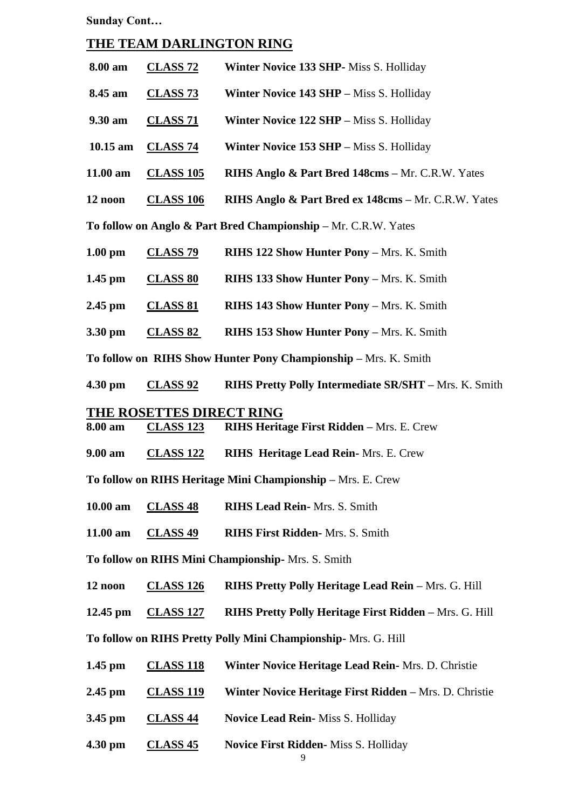**Sunday Cont…**

#### **THE TEAM DARLINGTON RING**

| 8.00 am            | <b>CLASS 72</b>  | Winter Novice 133 SHP- Miss S. Holliday                     |
|--------------------|------------------|-------------------------------------------------------------|
| 8.45 am            | <b>CLASS 73</b>  | <b>Winter Novice 143 SHP</b> – Miss S. Holliday             |
| $9.30 \text{ am}$  | <b>CLASS 71</b>  | <b>Winter Novice 122 SHP</b> – Miss S. Holliday             |
| $10.15 \text{ am}$ | CLASS 74         | <b>Winter Novice 153 SHP – Miss S. Holliday</b>             |
| 11.00 am           | <b>CLASS 105</b> | <b>RIHS Anglo &amp; Part Bred 148cms – Mr. C.R.W. Yates</b> |
| 12 noon            | <b>CLASS 106</b> | RIHS Anglo & Part Bred ex 148cms - Mr. C.R.W. Yates         |

**To follow on Anglo & Part Bred Championship –** Mr. C.R.W. Yates

| $1.00$ pm | CLASS <sub>79</sub> | <b>RIHS 122 Show Hunter Pony - Mrs. K. Smith</b> |  |  |  |  |  |  |
|-----------|---------------------|--------------------------------------------------|--|--|--|--|--|--|
|-----------|---------------------|--------------------------------------------------|--|--|--|--|--|--|

|  | $1.45$ pm | <b>CLASS 80</b> | <b>RIHS 133 Show Hunter Pony - Mrs. K. Smith</b> |
|--|-----------|-----------------|--------------------------------------------------|
|--|-----------|-----------------|--------------------------------------------------|

**2.45 pm CLASS 81 RIHS 143 Show Hunter Pony –** Mrs. K. Smith

**3.30 pm CLASS 82 RIHS 153 Show Hunter Pony –** Mrs. K. Smith

**To follow on RIHS Show Hunter Pony Championship –** Mrs. K. Smith

**4.30 pm CLASS 92 RIHS Pretty Polly Intermediate SR/SHT –** Mrs. K. Smith

#### **THE ROSETTES DIRECT RING**

**8.00 am CLASS 123 RIHS Heritage First Ridden –** Mrs. E. Crew

**9.00 am CLASS 122 RIHS Heritage Lead Rein-** Mrs. E. Crew

**To follow on RIHS Heritage Mini Championship –** Mrs. E. Crew

**10.00 am CLASS 48 RIHS Lead Rein-** Mrs. S. Smith

**11.00 am CLASS 49 RIHS First Ridden-** Mrs. S. Smith

**To follow on RIHS Mini Championship-** Mrs. S. Smith

**12 noon CLASS 126 RIHS Pretty Polly Heritage Lead Rein –** Mrs. G. Hill

**12.45 pm CLASS 127 RIHS Pretty Polly Heritage First Ridden –** Mrs. G. Hill

**To follow on RIHS Pretty Polly Mini Championship-** Mrs. G. Hill

| $1.45$ pm | <b>CLASS 118</b> | Winter Novice Heritage Lead Rein - Mrs. D. Christie |
|-----------|------------------|-----------------------------------------------------|
|-----------|------------------|-----------------------------------------------------|

**2.45 pm CLASS 119 Winter Novice Heritage First Ridden –** Mrs. D. Christie

**3.45 pm CLASS 44 Novice Lead Rein-** Miss S. Holliday

**4.30 pm CLASS 45 Novice First Ridden-** Miss S. Holliday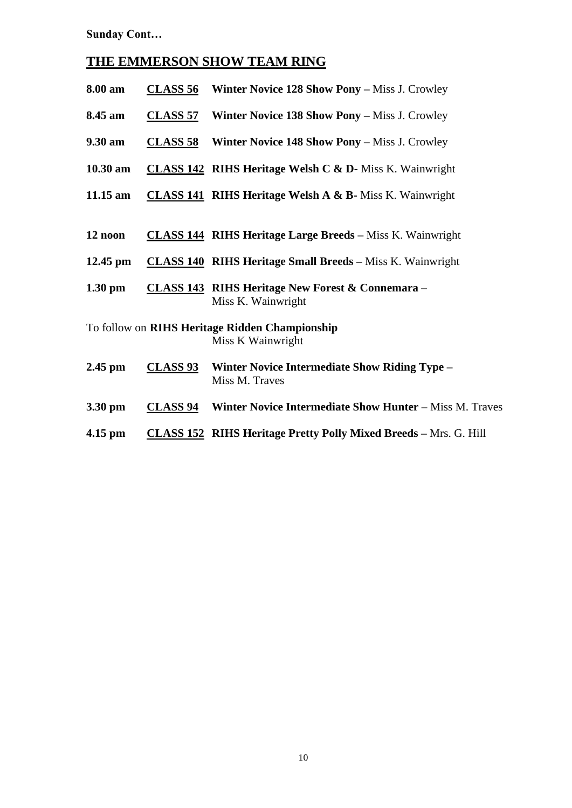**Sunday Cont…**

## **THE EMMERSON SHOW TEAM RING**

| 8.00 am           | <b>CLASS 56</b> | <b>Winter Novice 128 Show Pony – Miss J. Crowley</b>                              |
|-------------------|-----------------|-----------------------------------------------------------------------------------|
| 8.45 am           | <b>CLASS 57</b> | Winter Novice 138 Show Pony - Miss J. Crowley                                     |
| 9.30 am           | <u>CLASS 58</u> | <b>Winter Novice 148 Show Pony – Miss J. Crowley</b>                              |
| 10.30 am          |                 | <b>CLASS 142 RIHS Heritage Welsh C &amp; D-</b> Miss K. Wainwright                |
| 11.15 am          |                 | <b>CLASS 141 RIHS Heritage Welsh A &amp; B-</b> Miss K. Wainwright                |
|                   |                 |                                                                                   |
| 12 noon           |                 | <b>CLASS 144 RIHS Heritage Large Breeds - Miss K. Wainwright</b>                  |
| $12.45$ pm        |                 | <b>CLASS 140 RIHS Heritage Small Breeds - Miss K. Wainwright</b>                  |
| $1.30 \text{ pm}$ |                 | <b>CLASS 143 RIHS Heritage New Forest &amp; Connemara -</b><br>Miss K. Wainwright |
|                   |                 | To follow on RIHS Heritage Ridden Championship<br>Miss K Wainwright               |
| $2.45$ pm         | <b>CLASS 93</b> | <b>Winter Novice Intermediate Show Riding Type -</b><br>Miss M. Traves            |
| 3.30 pm           | <u>CLASS 94</u> | Winter Novice Intermediate Show Hunter - Miss M. Traves                           |
| $4.15$ pm         |                 | <b>CLASS 152 RIHS Heritage Pretty Polly Mixed Breeds - Mrs. G. Hill</b>           |
|                   |                 |                                                                                   |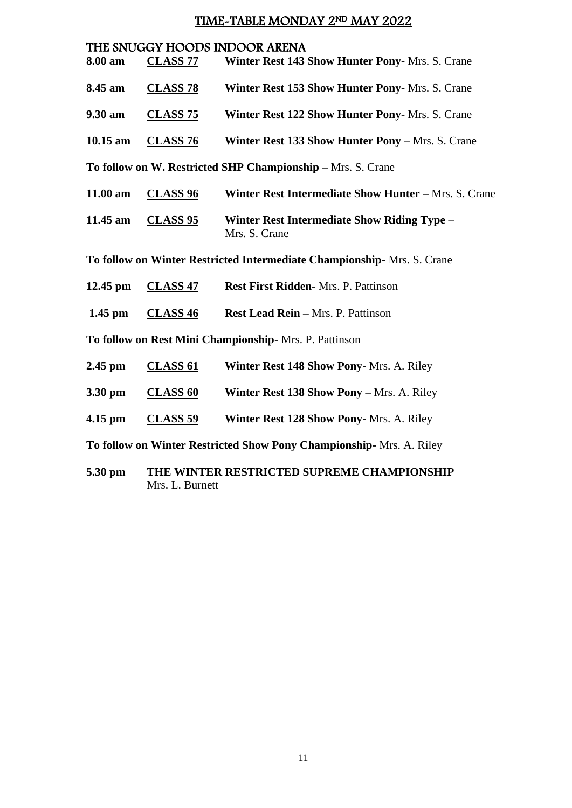## TIME-TABLE MONDAY 2ND MAY 2022

|            |                     | THE SNUGGY HOODS INDOOR ARENA                                            |
|------------|---------------------|--------------------------------------------------------------------------|
| 8.00 am    | <b>CLASS 77</b>     | Winter Rest 143 Show Hunter Pony- Mrs. S. Crane                          |
| 8.45 am    | <b>CLASS 78</b>     | Winter Rest 153 Show Hunter Pony- Mrs. S. Crane                          |
| 9.30 am    | <b>CLASS 75</b>     | Winter Rest 122 Show Hunter Pony- Mrs. S. Crane                          |
| $10.15$ am | <b>CLASS 76</b>     | Winter Rest 133 Show Hunter Pony - Mrs. S. Crane                         |
|            |                     | To follow on W. Restricted SHP Championship - Mrs. S. Crane              |
| 11.00 am   | <b>CLASS 96</b>     | Winter Rest Intermediate Show Hunter - Mrs. S. Crane                     |
| 11.45 am   | <b>CLASS 95</b>     | <b>Winter Rest Intermediate Show Riding Type -</b><br>Mrs. S. Crane      |
|            |                     | To follow on Winter Restricted Intermediate Championship - Mrs. S. Crane |
| 12.45 pm   | <b>CLASS 47</b>     | Rest First Ridden- Mrs. P. Pattinson                                     |
| $1.45$ pm  | CLASS <sub>46</sub> | <b>Rest Lead Rein - Mrs. P. Pattinson</b>                                |
|            |                     | To follow on Rest Mini Championship- Mrs. P. Pattinson                   |
| $2.45$ pm  | <b>CLASS 61</b>     | Winter Rest 148 Show Pony- Mrs. A. Riley                                 |
| 3.30 pm    | <b>CLASS 60</b>     | Winter Rest 138 Show Pony - Mrs. A. Riley                                |
| $4.15$ pm  | <u>CLASS 59</u>     | Winter Rest 128 Show Pony- Mrs. A. Riley                                 |
|            |                     | To follow on Winter Restricted Show Pony Championship- Mrs. A. Riley     |
| 5 30 nm    |                     | THE WINTER RESTRICTED SUPREME CHAMPIONSHIP                               |

**5.30 pm** THE WINTER RESTRICTED SUPREME CHAMPIONSHIPP Mrs. L. Burnett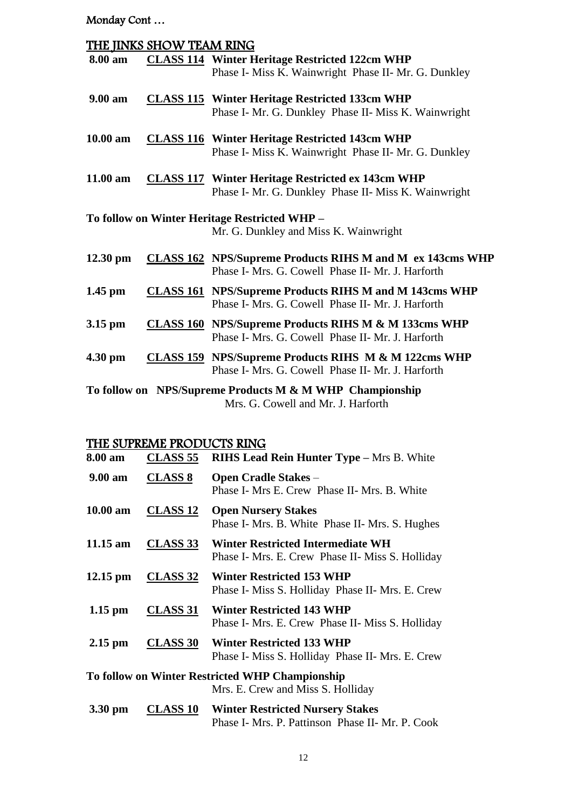Monday Cont …

|                                                                                                | THE JINKS SHOW TEAM RING |                                                                                                                       |
|------------------------------------------------------------------------------------------------|--------------------------|-----------------------------------------------------------------------------------------------------------------------|
| 8.00 am                                                                                        |                          | <b>CLASS 114 Winter Heritage Restricted 122cm WHP</b><br>Phase I- Miss K. Wainwright Phase II- Mr. G. Dunkley         |
| 9.00 am                                                                                        |                          | <b>CLASS 115</b> Winter Heritage Restricted 133cm WHP<br>Phase I- Mr. G. Dunkley Phase II- Miss K. Wainwright         |
| 10.00 am                                                                                       |                          | <b>CLASS 116</b> Winter Heritage Restricted 143cm WHP<br>Phase I- Miss K. Wainwright Phase II- Mr. G. Dunkley         |
| 11.00 am                                                                                       |                          | <b>CLASS 117</b> Winter Heritage Restricted ex 143cm WHP<br>Phase I- Mr. G. Dunkley Phase II- Miss K. Wainwright      |
| To follow on Winter Heritage Restricted WHP -<br>Mr. G. Dunkley and Miss K. Wainwright         |                          |                                                                                                                       |
| $12.30$ pm                                                                                     |                          | <b>CLASS 162</b> NPS/Supreme Products RIHS M and M ex 143cms WHP<br>Phase I- Mrs. G. Cowell Phase II- Mr. J. Harforth |
| $1.45$ pm                                                                                      |                          | <b>CLASS 161 NPS/Supreme Products RIHS M and M 143cms WHP</b><br>Phase I- Mrs. G. Cowell Phase II- Mr. J. Harforth    |
| $3.15$ pm                                                                                      |                          | <b>CLASS 160 NPS/Supreme Products RIHS M &amp; M 133cms WHP</b><br>Phase I- Mrs. G. Cowell Phase II- Mr. J. Harforth  |
| $4.30$ pm                                                                                      |                          | <b>CLASS 159</b> NPS/Supreme Products RIHS M & M 122cms WHP<br>Phase I- Mrs. G. Cowell Phase II- Mr. J. Harforth      |
| To follow on NPS/Supreme Products M & M WHP Championship<br>Mrs. G. Cowell and Mr. J. Harforth |                          |                                                                                                                       |

## THE SUPREME PRODUCTS RING

| 8.00 am            | <b>CLASS 55</b> | <b>RIHS Lead Rein Hunter Type - Mrs B. White</b>                                            |  |
|--------------------|-----------------|---------------------------------------------------------------------------------------------|--|
| $9.00 \text{ am}$  | <b>CLASS 8</b>  | <b>Open Cradle Stakes –</b><br>Phase I- Mrs E. Crew Phase II- Mrs. B. White                 |  |
| $10.00$ am         | <b>CLASS 12</b> | <b>Open Nursery Stakes</b><br>Phase I- Mrs. B. White Phase II- Mrs. S. Hughes               |  |
| $11.15$ am         | <b>CLASS 33</b> | Winter Restricted Intermediate WH<br>Phase I- Mrs. E. Crew Phase II- Miss S. Holliday       |  |
| $12.15 \text{ pm}$ | <b>CLASS 32</b> | <b>Winter Restricted 153 WHP</b><br>Phase I- Miss S. Holliday Phase II- Mrs. E. Crew        |  |
| $1.15$ pm          | <u>CLASS 31</u> | <b>Winter Restricted 143 WHP</b><br>Phase I- Mrs. E. Crew Phase II- Miss S. Holliday        |  |
| $2.15$ pm          | <b>CLASS 30</b> | Winter Restricted 133 WHP<br>Phase I- Miss S. Holliday Phase II- Mrs. E. Crew               |  |
|                    |                 | To follow on Winter Restricted WHP Championship<br>Mrs. E. Crew and Miss S. Holliday        |  |
| 3.30 pm            | <b>CLASS 10</b> | <b>Winter Restricted Nursery Stakes</b><br>Phase I- Mrs. P. Pattinson Phase II- Mr. P. Cook |  |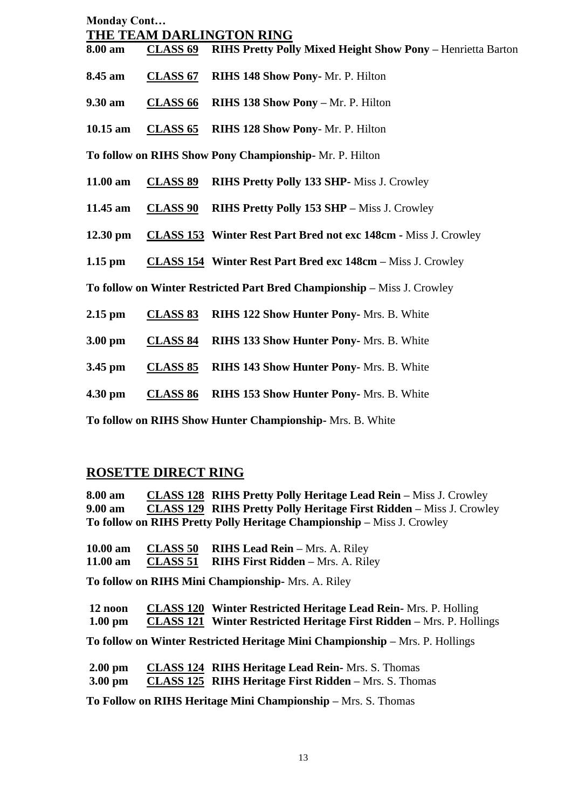| <b>Monday Cont</b> |                          |                                                                         |  |  |
|--------------------|--------------------------|-------------------------------------------------------------------------|--|--|
|                    | THE TEAM DARLINGTON RING |                                                                         |  |  |
| 8.00 am            | <b>CLASS 69</b>          | <b>RIHS Pretty Polly Mixed Height Show Pony - Henrietta Barton</b>      |  |  |
| 8.45 am            | <b>CLASS 67</b>          | RIHS 148 Show Pony- Mr. P. Hilton                                       |  |  |
| 9.30 am            | CLASS <sub>66</sub>      | RIHS 138 Show Pony - Mr. P. Hilton                                      |  |  |
| $10.15$ am         | <b>CLASS 65</b>          | RIHS 128 Show Pony- Mr. P. Hilton                                       |  |  |
|                    |                          | To follow on RIHS Show Pony Championship-Mr. P. Hilton                  |  |  |
| 11.00 am           | <b>CLASS 89</b>          | <b>RIHS Pretty Polly 133 SHP-Miss J. Crowley</b>                        |  |  |
| 11.45 am           | <b>CLASS 90</b>          | <b>RIHS Pretty Polly 153 SHP - Miss J. Crowley</b>                      |  |  |
| $12.30$ pm         |                          | <b>CLASS 153 Winter Rest Part Bred not exc 148cm - Miss J. Crowley</b>  |  |  |
| $1.15$ pm          |                          | <b>CLASS 154 Winter Rest Part Bred exc 148cm – Miss J. Crowley</b>      |  |  |
|                    |                          | To follow on Winter Restricted Part Bred Championship - Miss J. Crowley |  |  |
| $2.15$ pm          | <b>CLASS 83</b>          | <b>RIHS 122 Show Hunter Pony-Mrs. B. White</b>                          |  |  |
| $3.00$ pm          | <b>CLASS 84</b>          | <b>RIHS 133 Show Hunter Pony-Mrs. B. White</b>                          |  |  |
| $3.45$ pm          | <b>CLASS 85</b>          | RIHS 143 Show Hunter Pony- Mrs. B. White                                |  |  |
| 4.30 pm            | <b>CLASS 86</b>          | RIHS 153 Show Hunter Pony- Mrs. B. White                                |  |  |
|                    |                          | To follow on RIHS Show Hunter Championship- Mrs. B. White               |  |  |

#### **ROSETTE DIRECT RING**

**8.00 am CLASS 128 RIHS Pretty Polly Heritage Lead Rein –** Miss J. Crowley **9.00 am CLASS 129 RIHS Pretty Polly Heritage First Ridden –** Miss J. Crowley **To follow on RIHS Pretty Polly Heritage Championship –** Miss J. Crowley

| 10.00 am | <b>CLASS 50 RIHS Lead Rein – Mrs. A. Riley</b>    |
|----------|---------------------------------------------------|
| 11.00 am | <b>CLASS 51</b> RIHS First Ridden – Mrs. A. Riley |

**To follow on RIHS Mini Championship-** Mrs. A. Riley

| 12 noon           | <b>CLASS 120 Winter Restricted Heritage Lead Rein-</b> Mrs. P. Holling      |
|-------------------|-----------------------------------------------------------------------------|
| $1.00 \text{ pm}$ | <b>CLASS 121 Winter Restricted Heritage First Ridden</b> – Mrs. P. Hollings |

**To follow on Winter Restricted Heritage Mini Championship –** Mrs. P. Hollings

| $2.00 \text{ pm}$ | <b>CLASS 124 RIHS Heritage Lead Rein-Mrs. S. Thomas</b>      |
|-------------------|--------------------------------------------------------------|
| $3.00 \text{ pm}$ | <b>CLASS 125 RIHS Heritage First Ridden – Mrs. S. Thomas</b> |

**To Follow on RIHS Heritage Mini Championship –** Mrs. S. Thomas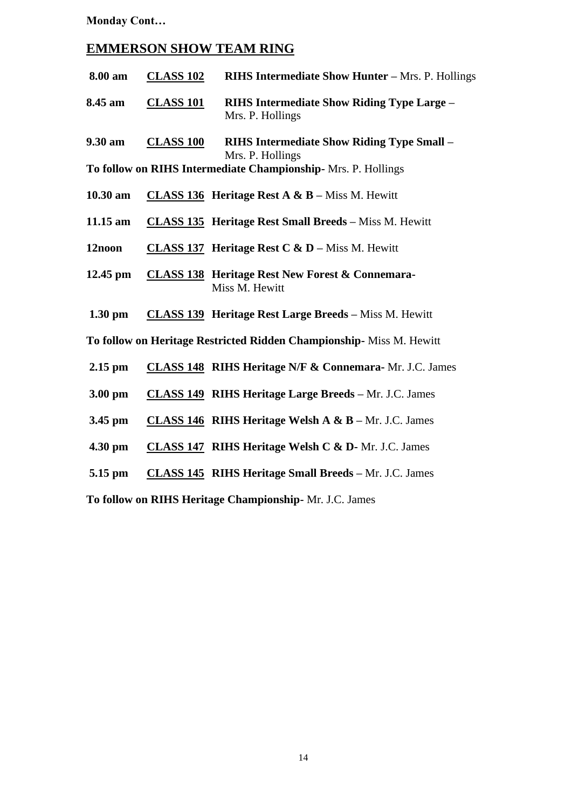**Monday Cont…**

#### **EMMERSON SHOW TEAM RING**

| 8.00 am | <b>CLASS 102</b> | <b>RIHS Intermediate Show Hunter – Mrs. P. Hollings</b>               |
|---------|------------------|-----------------------------------------------------------------------|
| 8.45 am | <b>CLASS 101</b> | <b>RIHS Intermediate Show Riding Type Large –</b><br>Mrs. P. Hollings |

**9.30 am CLASS 100 RIHS Intermediate Show Riding Type Small –** Mrs. P. Hollings

**To follow on RIHS Intermediate Championship-** Mrs. P. Hollings

- **10.30 am CLASS 136 Heritage Rest A & B –** Miss M. Hewitt
- **11.15 am CLASS 135 Heritage Rest Small Breeds –** Miss M. Hewitt
- **12noon CLASS 137 Heritage Rest C & D –** Miss M. Hewitt
- **12.45 pm CLASS 138 Heritage Rest New Forest & Connemara-**Miss M. Hewitt
- **1.30 pm CLASS 139 Heritage Rest Large Breeds –** Miss M. Hewitt

**To follow on Heritage Restricted Ridden Championship-** Miss M. Hewitt

- **2.15 pm CLASS 148 RIHS Heritage N/F & Connemara-** Mr. J.C. James
- **3.00 pm CLASS 149 RIHS Heritage Large Breeds –** Mr. J.C. James
- **3.45 pm CLASS 146 RIHS Heritage Welsh A & B –** Mr. J.C. James
- **4.30 pm CLASS 147 RIHS Heritage Welsh C & D-** Mr. J.C. James
- **5.15 pm CLASS 145 RIHS Heritage Small Breeds –** Mr. J.C. James

**To follow on RIHS Heritage Championship-** Mr. J.C. James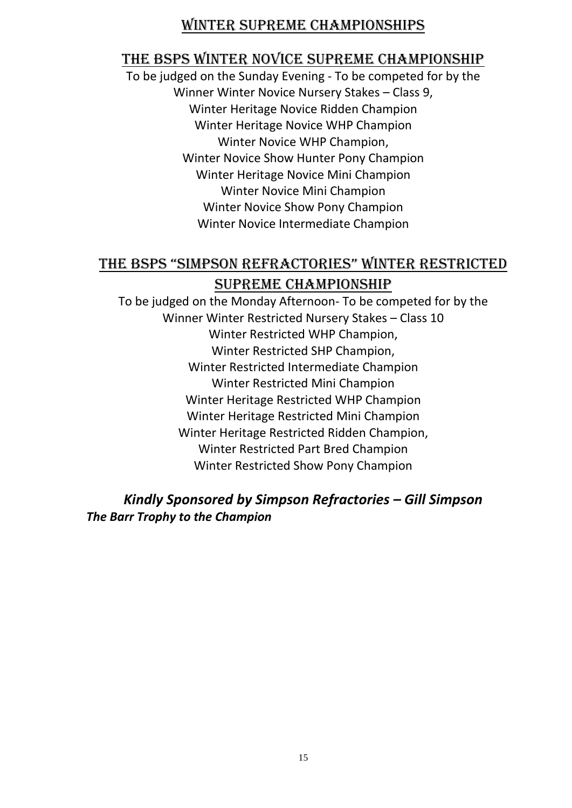## WINTER SUPREME CHAMPIONSHIPS

## THE BSPS WINTER NOVICE SUPREME CHAMPIONSHIP

To be judged on the Sunday Evening - To be competed for by the Winner Winter Novice Nursery Stakes – Class 9, Winter Heritage Novice Ridden Champion Winter Heritage Novice WHP Champion Winter Novice WHP Champion, Winter Novice Show Hunter Pony Champion Winter Heritage Novice Mini Champion Winter Novice Mini Champion Winter Novice Show Pony Champion Winter Novice Intermediate Champion

## THE BSPS "SIMPSON REFRACTORIES" WINTER RESTRICTED SUPREME CHAMPIONSHIP

To be judged on the Monday Afternoon- To be competed for by the Winner Winter Restricted Nursery Stakes – Class 10 Winter Restricted WHP Champion, Winter Restricted SHP Champion, Winter Restricted Intermediate Champion Winter Restricted Mini Champion Winter Heritage Restricted WHP Champion Winter Heritage Restricted Mini Champion Winter Heritage Restricted Ridden Champion, Winter Restricted Part Bred Champion Winter Restricted Show Pony Champion

## *Kindly Sponsored by Simpson Refractories – Gill Simpson The Barr Trophy to the Champion*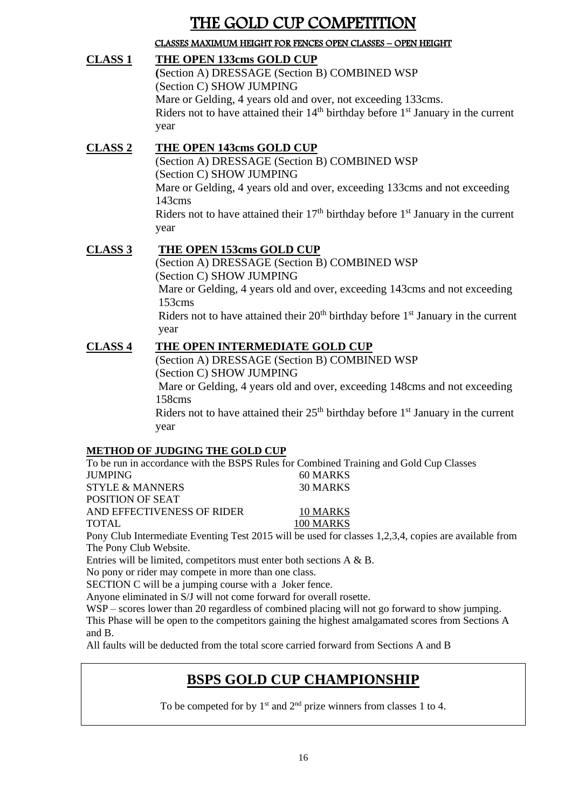# THE GOLD CUP COMPETITION

### CLASSES MAXIMUM HEIGHT FOR FENCES OPEN CLASSES – OPEN HEIGHT

**CLASS 1 THE OPEN 133cms GOLD CUP (**Section A) DRESSAGE (Section B) COMBINED WSP (Section C) SHOW JUMPING Mare or Gelding, 4 years old and over, not exceeding 133cms. Riders not to have attained their  $14<sup>th</sup>$  birthday before  $1<sup>st</sup>$  January in the current year

#### **CLASS 2 THE OPEN 143cms GOLD CUP** (Section A) DRESSAGE (Section B) COMBINED WSP (Section C) SHOW JUMPING Mare or Gelding, 4 years old and over, exceeding 133cms and not exceeding 143cms Riders not to have attained their  $17<sup>th</sup>$  birthday before  $1<sup>st</sup>$  January in the current year

**CLASS 3 THE OPEN 153cms GOLD CUP** (Section A) DRESSAGE (Section B) COMBINED WSP (Section C) SHOW JUMPING Mare or Gelding, 4 years old and over, exceeding 143cms and not exceeding 153cms Riders not to have attained their  $20<sup>th</sup>$  birthday before  $1<sup>st</sup>$  January in the current year

#### **CLASS 4 THE OPEN INTERMEDIATE GOLD CUP**

(Section A) DRESSAGE (Section B) COMBINED WSP (Section C) SHOW JUMPING Mare or Gelding, 4 years old and over, exceeding 148cms and not exceeding 158cms Riders not to have attained their  $25<sup>th</sup>$  birthday before  $1<sup>st</sup>$  January in the current year

#### **METHOD OF JUDGING THE GOLD CUP**

To be run in accordance with the BSPS Rules for Combined Training and Gold Cup Classes JUMPING 60 MARKS STYLE & MANNERS 30 MARKS POSITION OF SEAT AND EFFECTIVENESS OF RIDER 10 MARKS TOTAL 100 MARKS Pony Club Intermediate Eventing Test 2015 will be used for classes 1,2,3,4, copies are available from The Pony Club Website.

Entries will be limited, competitors must enter both sections A & B.

No pony or rider may compete in more than one class.

SECTION C will be a jumping course with a Joker fence.

Anyone eliminated in S/J will not come forward for overall rosette.

WSP – scores lower than 20 regardless of combined placing will not go forward to show jumping.

This Phase will be open to the competitors gaining the highest amalgamated scores from Sections A and B.

All faults will be deducted from the total score carried forward from Sections A and B

## **BSPS GOLD CUP CHAMPIONSHIP**

To be competed for by  $1<sup>st</sup>$  and  $2<sup>nd</sup>$  prize winners from classes 1 to 4.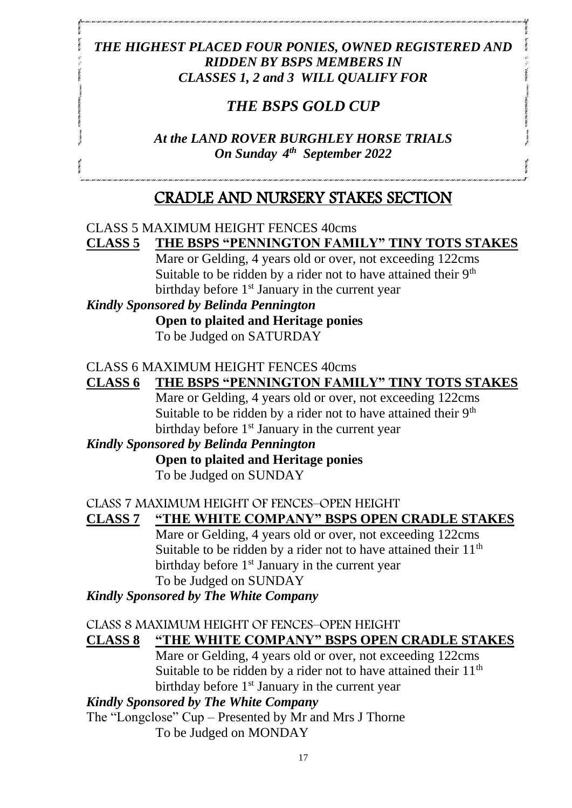## *THE HIGHEST PLACED FOUR PONIES, OWNED REGISTERED AND RIDDEN BY BSPS MEMBERS IN CLASSES 1, 2 and 3 WILL QUALIFY FOR*

## *THE BSPS GOLD CUP*

*At the LAND ROVER BURGHLEY HORSE TRIALS On Sunday 4 th September 2022*

## CRADLE AND NURSERY STAKES SECTION

## CLASS 5 MAXIMUM HEIGHT FENCES 40cms

#### **CLASS 5 THE BSPS "PENNINGTON FAMILY" TINY TOTS STAKES** Mare or Gelding, 4 years old or over, not exceeding 122cms

Suitable to be ridden by a rider not to have attained their  $9<sup>th</sup>$ birthday before 1<sup>st</sup> January in the current year

#### *Kindly Sponsored by Belinda Pennington*

**Open to plaited and Heritage ponies** To be Judged on SATURDAY

#### CLASS 6 MAXIMUM HEIGHT FENCES 40cms

#### **CLASS 6 THE BSPS "PENNINGTON FAMILY" TINY TOTS STAKES**

Mare or Gelding, 4 years old or over, not exceeding 122cms Suitable to be ridden by a rider not to have attained their 9<sup>th</sup> birthday before  $1<sup>st</sup>$  January in the current year

## *Kindly Sponsored by Belinda Pennington*

#### **Open to plaited and Heritage ponies** To be Judged on SUNDAY

#### CLASS 7 MAXIMUM HEIGHT OF FENCES–OPEN HEIGHT

## **CLASS 7 "THE WHITE COMPANY" BSPS OPEN CRADLE STAKES**

Mare or Gelding, 4 years old or over, not exceeding 122cms Suitable to be ridden by a rider not to have attained their  $11<sup>th</sup>$ birthday before  $1<sup>st</sup>$  January in the current year To be Judged on SUNDAY

#### *Kindly Sponsored by The White Company*

#### CLASS 8 MAXIMUM HEIGHT OF FENCES–OPEN HEIGHT

#### **CLASS 8 "THE WHITE COMPANY" BSPS OPEN CRADLE STAKES**

Mare or Gelding, 4 years old or over, not exceeding 122cms Suitable to be ridden by a rider not to have attained their  $11<sup>th</sup>$ birthday before  $1<sup>st</sup>$  January in the current year

#### *Kindly Sponsored by The White Company*

The "Longclose" Cup – Presented by Mr and Mrs J Thorne

To be Judged on MONDAY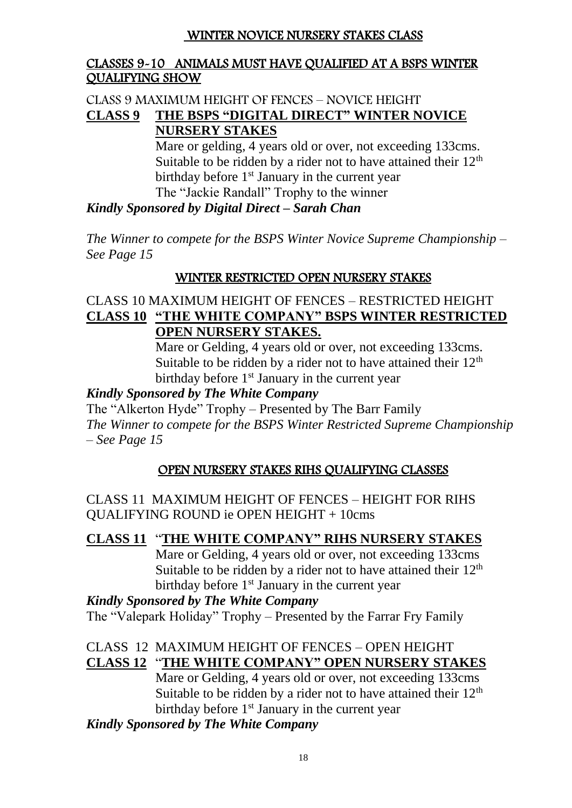#### WINTER NOVICE NURSERY STAKES CLASS

#### CLASSES 9-10 ANIMALS MUST HAVE QUALIFIED AT A BSPS WINTER QUALIFYING SHOW

#### CLASS 9 MAXIMUM HEIGHT OF FENCES – NOVICE HEIGHT **CLASS 9 THE BSPS "DIGITAL DIRECT" WINTER NOVICE NURSERY STAKES**

Mare or gelding, 4 years old or over, not exceeding 133cms. Suitable to be ridden by a rider not to have attained their  $12<sup>th</sup>$ birthday before  $1<sup>st</sup>$  January in the current year The "Jackie Randall" Trophy to the winner

#### *Kindly Sponsored by Digital Direct – Sarah Chan*

*The Winner to compete for the BSPS Winter Novice Supreme Championship – See Page 15*

#### WINTER RESTRICTED OPEN NURSERY STAKES

#### CLASS 10 MAXIMUM HEIGHT OF FENCES – RESTRICTED HEIGHT **CLASS 10 "THE WHITE COMPANY" BSPS WINTER RESTRICTED OPEN NURSERY STAKES.**

Mare or Gelding, 4 years old or over, not exceeding 133cms. Suitable to be ridden by a rider not to have attained their  $12<sup>th</sup>$ birthday before 1<sup>st</sup> January in the current year

#### *Kindly Sponsored by The White Company*

The "Alkerton Hyde" Trophy – Presented by The Barr Family *The Winner to compete for the BSPS Winter Restricted Supreme Championship – See Page 15*

#### OPEN NURSERY STAKES RIHS QUALIFYING CLASSES

CLASS 11 MAXIMUM HEIGHT OF FENCES – HEIGHT FOR RIHS QUALIFYING ROUND ie OPEN HEIGHT + 10cms

#### **CLASS 11** "**THE WHITE COMPANY" RIHS NURSERY STAKES**

Mare or Gelding, 4 years old or over, not exceeding 133cms Suitable to be ridden by a rider not to have attained their  $12<sup>th</sup>$ birthday before 1<sup>st</sup> January in the current year

### *Kindly Sponsored by The White Company* The "Valepark Holiday" Trophy – Presented by the Farrar Fry Family

#### CLASS 12 MAXIMUM HEIGHT OF FENCES – OPEN HEIGHT **CLASS 12** "**THE WHITE COMPANY" OPEN NURSERY STAKES**

Mare or Gelding, 4 years old or over, not exceeding 133cms Suitable to be ridden by a rider not to have attained their  $12<sup>th</sup>$ birthday before 1<sup>st</sup> January in the current year

#### *Kindly Sponsored by The White Company*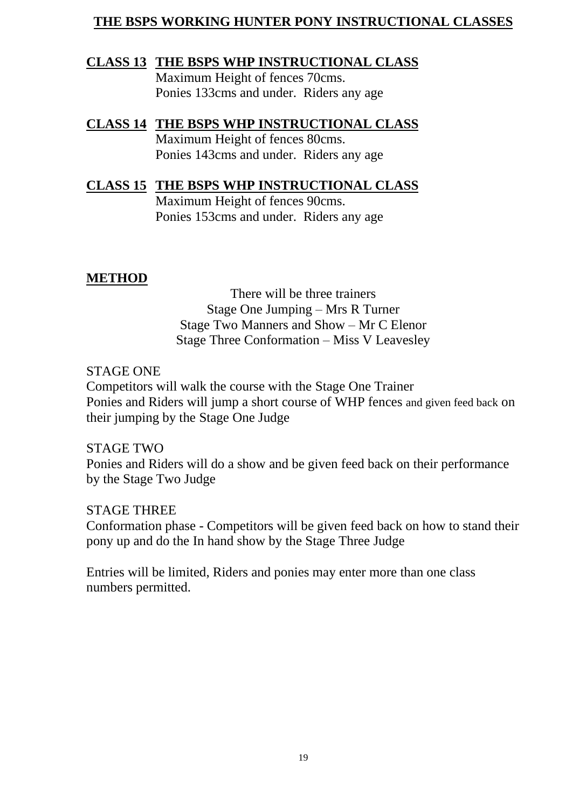### **THE BSPS WORKING HUNTER PONY INSTRUCTIONAL CLASSES**

#### **CLASS 13 THE BSPS WHP INSTRUCTIONAL CLASS**

Maximum Height of fences 70cms. Ponies 133cms and under. Riders any age

#### **CLASS 14 THE BSPS WHP INSTRUCTIONAL CLASS** Maximum Height of fences 80cms. Ponies 143cms and under. Riders any age

## **CLASS 15 THE BSPS WHP INSTRUCTIONAL CLASS**

Maximum Height of fences 90cms. Ponies 153cms and under. Riders any age

### **METHOD**

There will be three trainers Stage One Jumping – Mrs R Turner Stage Two Manners and Show – Mr C Elenor Stage Three Conformation – Miss V Leavesley

#### STAGE ONE

Competitors will walk the course with the Stage One Trainer Ponies and Riders will jump a short course of WHP fences and given feed back on their jumping by the Stage One Judge

#### STAGE TWO

Ponies and Riders will do a show and be given feed back on their performance by the Stage Two Judge

#### STAGE THREE

Conformation phase - Competitors will be given feed back on how to stand their pony up and do the In hand show by the Stage Three Judge

Entries will be limited, Riders and ponies may enter more than one class numbers permitted.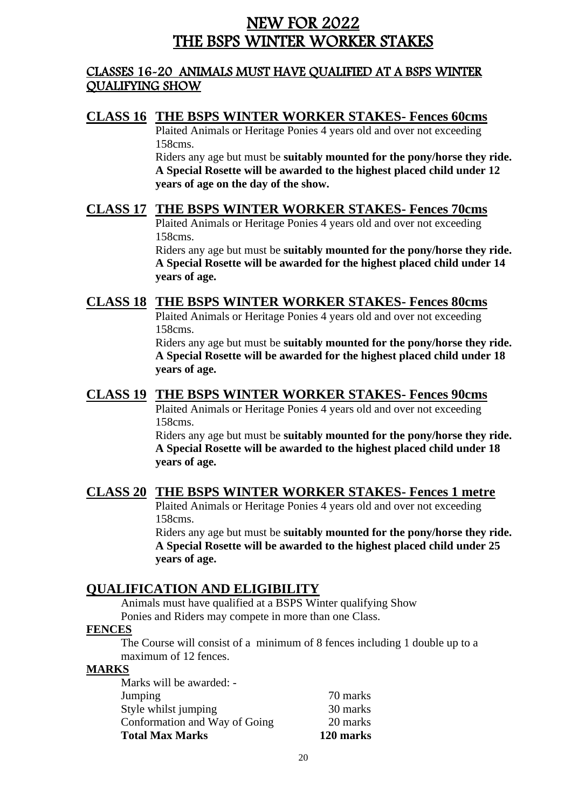## NEW FOR 2022 THE BSPS WINTER WORKER STAKES

#### CLASSES 16-20 ANIMALS MUST HAVE QUALIFIED AT A BSPS WINTER QUALIFYING SHOW

#### **CLASS 16 THE BSPS WINTER WORKER STAKES- Fences 60cms**

Plaited Animals or Heritage Ponies 4 years old and over not exceeding 158cms.

Riders any age but must be **suitably mounted for the pony/horse they ride. A Special Rosette will be awarded to the highest placed child under 12 years of age on the day of the show.**

#### **CLASS 17 THE BSPS WINTER WORKER STAKES- Fences 70cms**

Plaited Animals or Heritage Ponies 4 years old and over not exceeding 158cms.

Riders any age but must be **suitably mounted for the pony/horse they ride. A Special Rosette will be awarded for the highest placed child under 14 years of age.**

#### **CLASS 18 THE BSPS WINTER WORKER STAKES- Fences 80cms**

Plaited Animals or Heritage Ponies 4 years old and over not exceeding 158cms.

Riders any age but must be **suitably mounted for the pony/horse they ride. A Special Rosette will be awarded for the highest placed child under 18 years of age.**

#### **CLASS 19 THE BSPS WINTER WORKER STAKES- Fences 90cms**

Plaited Animals or Heritage Ponies 4 years old and over not exceeding 158cms.

Riders any age but must be **suitably mounted for the pony/horse they ride. A Special Rosette will be awarded to the highest placed child under 18 years of age.**

#### **CLASS 20 THE BSPS WINTER WORKER STAKES- Fences 1 metre**

Plaited Animals or Heritage Ponies 4 years old and over not exceeding 158cms.

Riders any age but must be **suitably mounted for the pony/horse they ride. A Special Rosette will be awarded to the highest placed child under 25 years of age.**

#### **QUALIFICATION AND ELIGIBILITY**

Animals must have qualified at a BSPS Winter qualifying Show Ponies and Riders may compete in more than one Class.

#### **FENCES**

The Course will consist of a minimum of 8 fences including 1 double up to a maximum of 12 fences.

#### **MARKS**

| <b>Total Max Marks</b>        | 120 marks |
|-------------------------------|-----------|
| Conformation and Way of Going | 20 marks  |
| Style whilst jumping          | 30 marks  |
| Jumping                       | 70 marks  |
| Marks will be awarded: -      |           |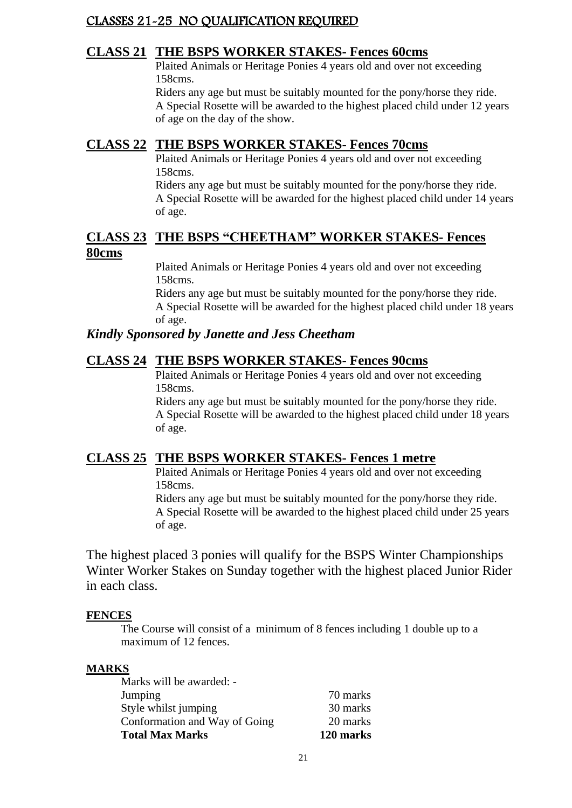#### CLASSES 21-25 NO QUALIFICATION REQUIRED

#### **CLASS 21 THE BSPS WORKER STAKES- Fences 60cms**

Plaited Animals or Heritage Ponies 4 years old and over not exceeding 158cms.

Riders any age but must be suitably mounted for the pony/horse they ride. A Special Rosette will be awarded to the highest placed child under 12 years of age on the day of the show.

#### **CLASS 22 THE BSPS WORKER STAKES- Fences 70cms**

Plaited Animals or Heritage Ponies 4 years old and over not exceeding 158cms.

Riders any age but must be suitably mounted for the pony/horse they ride. A Special Rosette will be awarded for the highest placed child under 14 years of age.

#### **CLASS 23 THE BSPS "CHEETHAM" WORKER STAKES- Fences 80cms**

Plaited Animals or Heritage Ponies 4 years old and over not exceeding 158cms.

Riders any age but must be suitably mounted for the pony/horse they ride. A Special Rosette will be awarded for the highest placed child under 18 years of age.

#### *Kindly Sponsored by Janette and Jess Cheetham*

#### **CLASS 24 THE BSPS WORKER STAKES- Fences 90cms**

Plaited Animals or Heritage Ponies 4 years old and over not exceeding 158cms.

Riders any age but must be **s**uitably mounted for the pony/horse they ride. A Special Rosette will be awarded to the highest placed child under 18 years of age.

#### **CLASS 25 THE BSPS WORKER STAKES- Fences 1 metre**

Plaited Animals or Heritage Ponies 4 years old and over not exceeding 158cms.

Riders any age but must be **s**uitably mounted for the pony/horse they ride. A Special Rosette will be awarded to the highest placed child under 25 years of age.

The highest placed 3 ponies will qualify for the BSPS Winter Championships Winter Worker Stakes on Sunday together with the highest placed Junior Rider in each class.

#### **FENCES**

The Course will consist of a minimum of 8 fences including 1 double up to a maximum of 12 fences.

#### **MARKS**

| <b>Total Max Marks</b>        | 120 marks |
|-------------------------------|-----------|
| Conformation and Way of Going | 20 marks  |
| Style whilst jumping          | 30 marks  |
| Jumping                       | 70 marks  |
| Marks will be awarded: -      |           |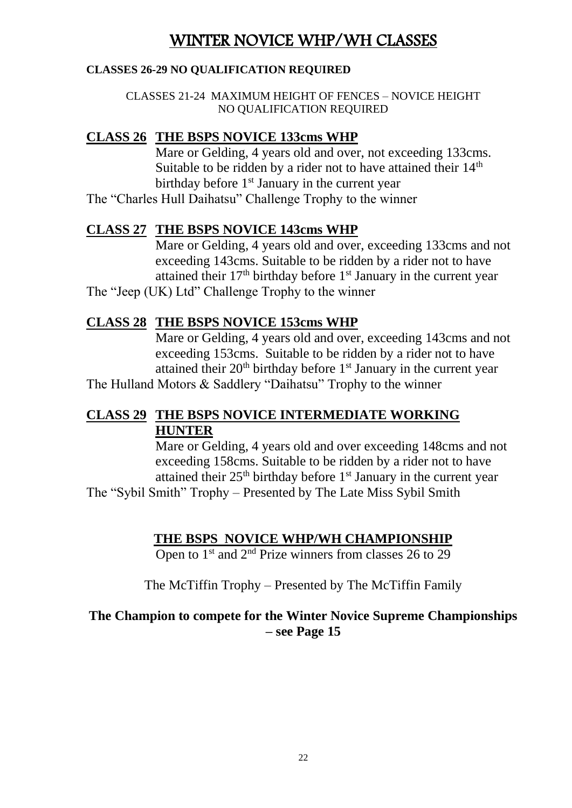## WINTER NOVICE WHP/WH CLASSES

#### **CLASSES 26-29 NO QUALIFICATION REQUIRED**

CLASSES 21-24 MAXIMUM HEIGHT OF FENCES – NOVICE HEIGHT NO QUALIFICATION REQUIRED

#### **CLASS 26 THE BSPS NOVICE 133cms WHP**

Mare or Gelding, 4 years old and over, not exceeding 133cms. Suitable to be ridden by a rider not to have attained their 14<sup>th</sup> birthday before  $1<sup>st</sup>$  January in the current year

The "Charles Hull Daihatsu" Challenge Trophy to the winner

#### **CLASS 27 THE BSPS NOVICE 143cms WHP**

Mare or Gelding, 4 years old and over, exceeding 133cms and not exceeding 143cms. Suitable to be ridden by a rider not to have attained their  $17<sup>th</sup>$  birthday before  $1<sup>st</sup>$  January in the current year The "Jeep (UK) Ltd" Challenge Trophy to the winner

#### **CLASS 28 THE BSPS NOVICE 153cms WHP**

Mare or Gelding, 4 years old and over, exceeding 143cms and not exceeding 153cms. Suitable to be ridden by a rider not to have attained their  $20<sup>th</sup>$  birthday before  $1<sup>st</sup>$  January in the current year

The Hulland Motors & Saddlery "Daihatsu" Trophy to the winner

#### **CLASS 29 THE BSPS NOVICE INTERMEDIATE WORKING HUNTER**

Mare or Gelding, 4 years old and over exceeding 148cms and not exceeding 158cms. Suitable to be ridden by a rider not to have attained their  $25<sup>th</sup>$  birthday before  $1<sup>st</sup>$  January in the current year The "Sybil Smith" Trophy – Presented by The Late Miss Sybil Smith

#### **THE BSPS NOVICE WHP/WH CHAMPIONSHIP**

Open to  $1<sup>st</sup>$  and  $2<sup>nd</sup>$  Prize winners from classes 26 to 29

The McTiffin Trophy – Presented by The McTiffin Family

#### **The Champion to compete for the Winter Novice Supreme Championships – see Page 15**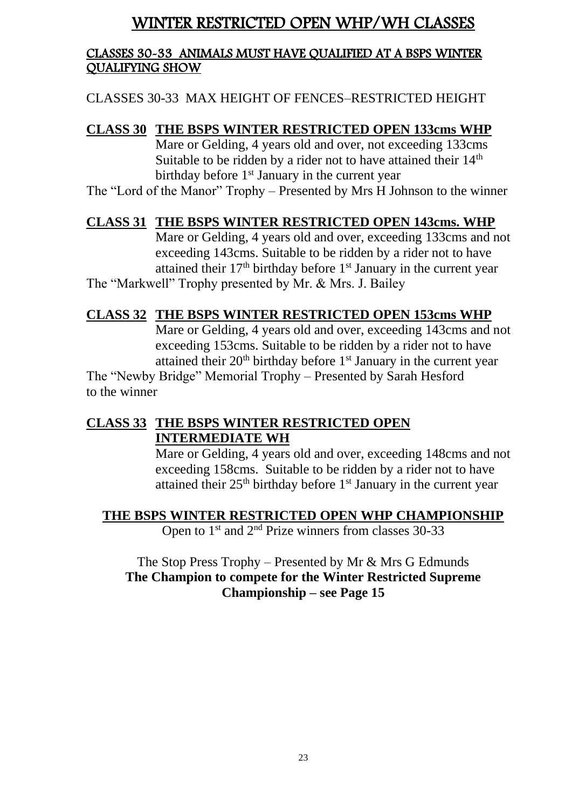## WINTER RESTRICTED OPEN WHP/WH CLASSES

#### CLASSES 30-33 ANIMALS MUST HAVE QUALIFIED AT A BSPS WINTER QUALIFYING SHOW

CLASSES 30-33 MAX HEIGHT OF FENCES–RESTRICTED HEIGHT

## **CLASS 30 THE BSPS WINTER RESTRICTED OPEN 133cms WHP**

Mare or Gelding, 4 years old and over, not exceeding 133cms Suitable to be ridden by a rider not to have attained their 14<sup>th</sup> birthday before  $1<sup>st</sup>$  January in the current year

The "Lord of the Manor" Trophy – Presented by Mrs H Johnson to the winner

#### **CLASS 31 THE BSPS WINTER RESTRICTED OPEN 143cms. WHP**

Mare or Gelding, 4 years old and over, exceeding 133cms and not exceeding 143cms. Suitable to be ridden by a rider not to have attained their  $17<sup>th</sup>$  birthday before  $1<sup>st</sup>$  January in the current year The "Markwell" Trophy presented by Mr. & Mrs. J. Bailey

#### **CLASS 32 THE BSPS WINTER RESTRICTED OPEN 153cms WHP**

Mare or Gelding, 4 years old and over, exceeding 143cms and not exceeding 153cms. Suitable to be ridden by a rider not to have attained their  $20<sup>th</sup>$  birthday before  $1<sup>st</sup>$  January in the current year

The "Newby Bridge" Memorial Trophy – Presented by Sarah Hesford to the winner

### **CLASS 33 THE BSPS WINTER RESTRICTED OPEN INTERMEDIATE WH**

Mare or Gelding, 4 years old and over, exceeding 148cms and not exceeding 158cms. Suitable to be ridden by a rider not to have attained their 25<sup>th</sup> birthday before 1<sup>st</sup> January in the current year

#### **THE BSPS WINTER RESTRICTED OPEN WHP CHAMPIONSHIP**

Open to  $1<sup>st</sup>$  and  $2<sup>nd</sup>$  Prize winners from classes 30-33

#### The Stop Press Trophy – Presented by Mr & Mrs G Edmunds **The Champion to compete for the Winter Restricted Supreme Championship – see Page 15**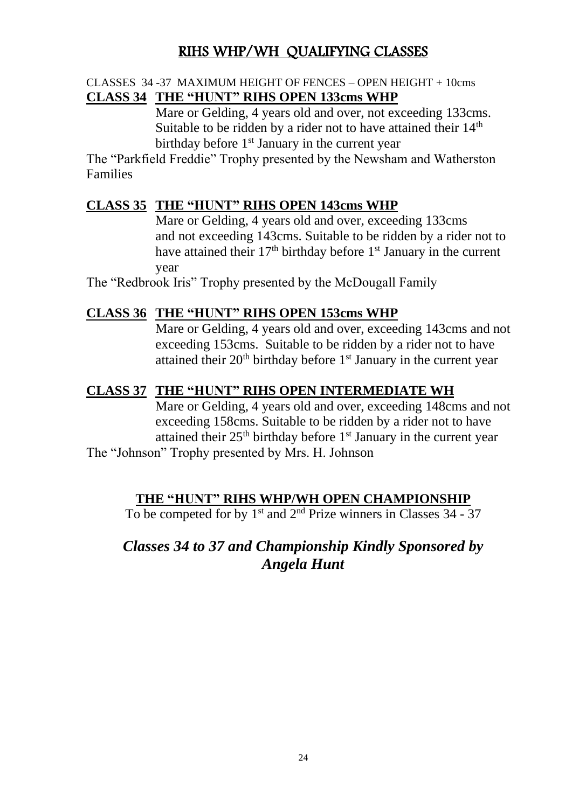## RIHS WHP/WH QUALIFYING CLASSES

#### CLASSES 34 -37 MAXIMUM HEIGHT OF FENCES – OPEN HEIGHT + 10cms **CLASS 34 THE "HUNT" RIHS OPEN 133cms WHP**

Mare or Gelding, 4 years old and over, not exceeding 133cms. Suitable to be ridden by a rider not to have attained their  $14<sup>th</sup>$ birthday before 1<sup>st</sup> January in the current year

The "Parkfield Freddie" Trophy presented by the Newsham and Watherston Families

#### **CLASS 35 THE "HUNT" RIHS OPEN 143cms WHP**

Mare or Gelding, 4 years old and over, exceeding 133cms and not exceeding 143cms. Suitable to be ridden by a rider not to have attained their  $17<sup>th</sup>$  birthday before  $1<sup>st</sup>$  January in the current year

The "Redbrook Iris" Trophy presented by the McDougall Family

#### **CLASS 36 THE "HUNT" RIHS OPEN 153cms WHP**

Mare or Gelding, 4 years old and over, exceeding 143cms and not exceeding 153cms. Suitable to be ridden by a rider not to have attained their 20<sup>th</sup> birthday before 1<sup>st</sup> January in the current year

#### **CLASS 37 THE "HUNT" RIHS OPEN INTERMEDIATE WH**

Mare or Gelding, 4 years old and over, exceeding 148cms and not exceeding 158cms. Suitable to be ridden by a rider not to have attained their  $25<sup>th</sup>$  birthday before  $1<sup>st</sup>$  January in the current year

The "Johnson" Trophy presented by Mrs. H. Johnson

#### **THE "HUNT" RIHS WHP/WH OPEN CHAMPIONSHIP**

To be competed for by  $1<sup>st</sup>$  and  $2<sup>nd</sup>$  Prize winners in Classes 34 - 37

## *Classes 34 to 37 and Championship Kindly Sponsored by Angela Hunt*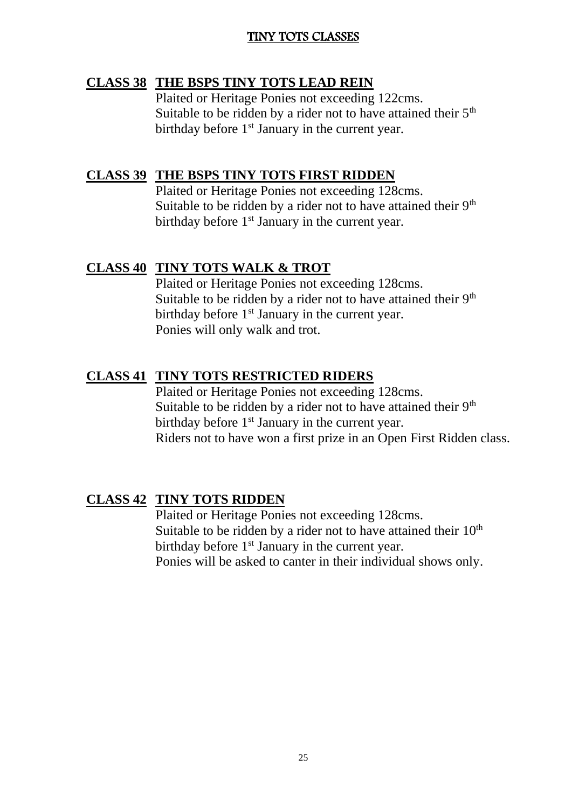#### TINY TOTS CLASSES

#### **CLASS 38 THE BSPS TINY TOTS LEAD REIN**

Plaited or Heritage Ponies not exceeding 122cms. Suitable to be ridden by a rider not to have attained their  $5<sup>th</sup>$ birthday before  $1<sup>st</sup>$  January in the current year.

#### **CLASS 39 THE BSPS TINY TOTS FIRST RIDDEN**

Plaited or Heritage Ponies not exceeding 128cms. Suitable to be ridden by a rider not to have attained their  $9<sup>th</sup>$ birthday before  $1<sup>st</sup>$  January in the current year.

#### **CLASS 40 TINY TOTS WALK & TROT**

Plaited or Heritage Ponies not exceeding 128cms. Suitable to be ridden by a rider not to have attained their  $9<sup>th</sup>$ birthday before  $1<sup>st</sup>$  January in the current year. Ponies will only walk and trot.

#### **CLASS 41 TINY TOTS RESTRICTED RIDERS**

Plaited or Heritage Ponies not exceeding 128cms. Suitable to be ridden by a rider not to have attained their  $9<sup>th</sup>$ birthday before  $1<sup>st</sup>$  January in the current year. Riders not to have won a first prize in an Open First Ridden class.

#### **CLASS 42 TINY TOTS RIDDEN**

Plaited or Heritage Ponies not exceeding 128cms. Suitable to be ridden by a rider not to have attained their  $10<sup>th</sup>$ birthday before 1<sup>st</sup> January in the current year. Ponies will be asked to canter in their individual shows only.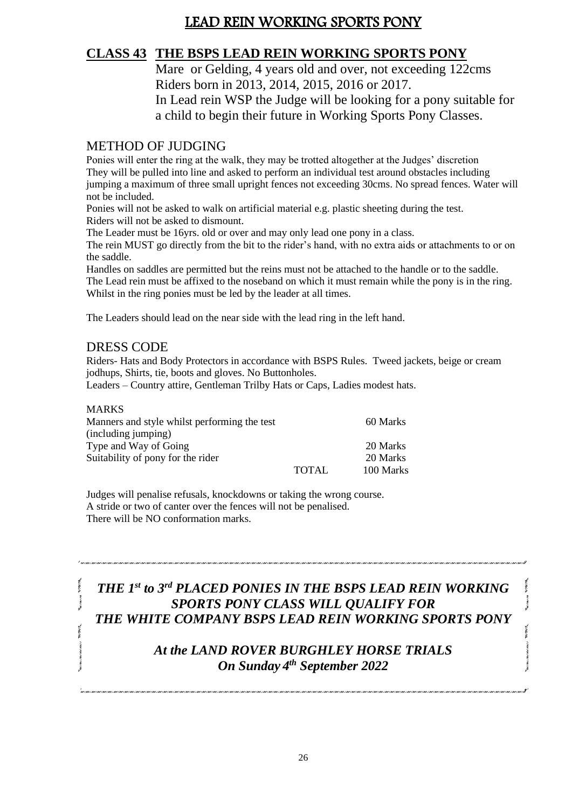## LEAD REIN WORKING SPORTS PONY

### **CLASS 43 THE BSPS LEAD REIN WORKING SPORTS PONY**

Mare or Gelding, 4 years old and over, not exceeding 122cms Riders born in 2013, 2014, 2015, 2016 or 2017. In Lead rein WSP the Judge will be looking for a pony suitable for a child to begin their future in Working Sports Pony Classes.

#### METHOD OF JUDGING

Ponies will enter the ring at the walk, they may be trotted altogether at the Judges' discretion They will be pulled into line and asked to perform an individual test around obstacles including jumping a maximum of three small upright fences not exceeding 30cms. No spread fences. Water will not be included.

Ponies will not be asked to walk on artificial material e.g. plastic sheeting during the test. Riders will not be asked to dismount.

The Leader must be 16yrs. old or over and may only lead one pony in a class.

The rein MUST go directly from the bit to the rider's hand, with no extra aids or attachments to or on the saddle.

Handles on saddles are permitted but the reins must not be attached to the handle or to the saddle. The Lead rein must be affixed to the noseband on which it must remain while the pony is in the ring. Whilst in the ring ponies must be led by the leader at all times.

The Leaders should lead on the near side with the lead ring in the left hand.

#### DRESS CODE

**ANTIBOTION** 

Riders- Hats and Body Protectors in accordance with BSPS Rules. Tweed jackets, beige or cream jodhups, Shirts, tie, boots and gloves. No Buttonholes.

Leaders – Country attire, Gentleman Trilby Hats or Caps, Ladies modest hats.

| <b>MARKS</b>                                 |              |           |
|----------------------------------------------|--------------|-----------|
| Manners and style whilst performing the test |              | 60 Marks  |
| (including jumping)                          |              |           |
| Type and Way of Going                        |              | 20 Marks  |
| Suitability of pony for the rider            |              | 20 Marks  |
|                                              | <b>TOTAL</b> | 100 Marks |

Judges will penalise refusals, knockdowns or taking the wrong course. A stride or two of canter over the fences will not be penalised. There will be NO conformation marks.

### *THE 1st to 3 rd PLACED PONIES IN THE BSPS LEAD REIN WORKING SPORTS PONY CLASS WILL QUALIFY FOR THE WHITE COMPANY BSPS LEAD REIN WORKING SPORTS PONY*

#### *At the LAND ROVER BURGHLEY HORSE TRIALS On Sunday 4 th September 2022*

26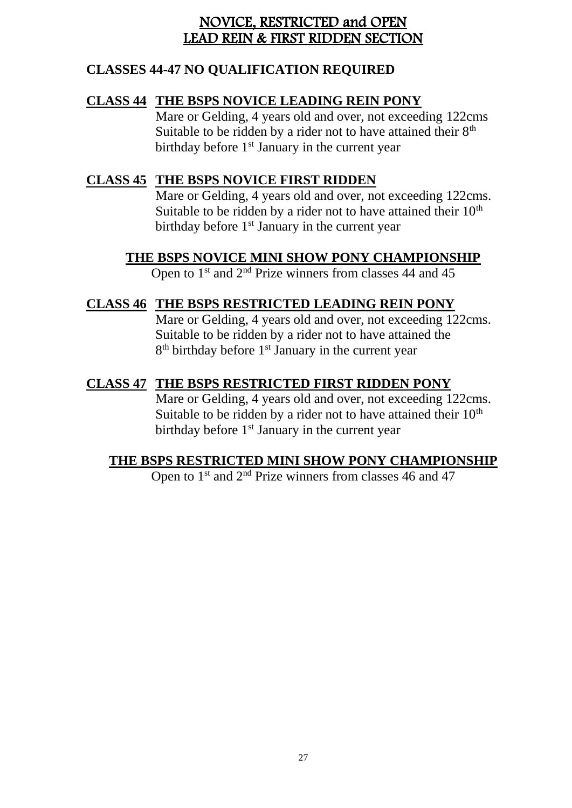### NOVICE, RESTRICTED and OPEN LEAD REIN & FIRST RIDDEN SECTION

### **CLASSES 44-47 NO QUALIFICATION REQUIRED**

#### **CLASS 44 THE BSPS NOVICE LEADING REIN PONY**

Mare or Gelding, 4 years old and over, not exceeding 122cms Suitable to be ridden by a rider not to have attained their  $8<sup>th</sup>$ birthday before 1<sup>st</sup> January in the current year

### **CLASS 45 THE BSPS NOVICE FIRST RIDDEN**

Mare or Gelding, 4 years old and over, not exceeding 122cms. Suitable to be ridden by a rider not to have attained their  $10<sup>th</sup>$ birthday before 1<sup>st</sup> January in the current year

#### **THE BSPS NOVICE MINI SHOW PONY CHAMPIONSHIP**

Open to  $1<sup>st</sup>$  and  $2<sup>nd</sup>$  Prize winners from classes 44 and 45

## **CLASS 46 THE BSPS RESTRICTED LEADING REIN PONY**

Mare or Gelding, 4 years old and over, not exceeding 122cms. Suitable to be ridden by a rider not to have attained the 8<sup>th</sup> birthday before 1<sup>st</sup> January in the current year

### **CLASS 47 THE BSPS RESTRICTED FIRST RIDDEN PONY**

Mare or Gelding, 4 years old and over, not exceeding 122cms. Suitable to be ridden by a rider not to have attained their  $10<sup>th</sup>$ birthday before  $1<sup>st</sup>$  January in the current year

## **THE BSPS RESTRICTED MINI SHOW PONY CHAMPIONSHIP**

Open to 1<sup>st</sup> and 2<sup>nd</sup> Prize winners from classes 46 and 47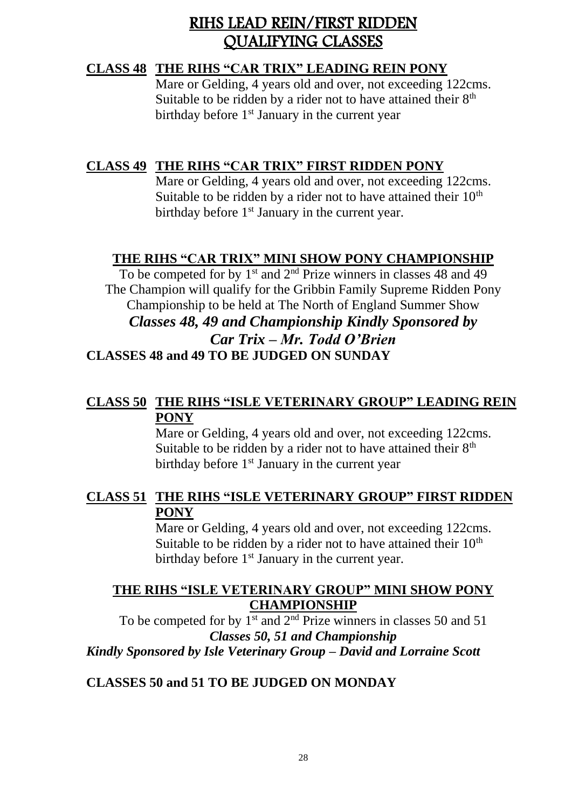## RIHS LEAD REIN/FIRST RIDDEN QUALIFYING CLASSES

#### **CLASS 48 THE RIHS "CAR TRIX" LEADING REIN PONY**

Mare or Gelding, 4 years old and over, not exceeding 122cms. Suitable to be ridden by a rider not to have attained their  $8<sup>th</sup>$ birthday before 1<sup>st</sup> January in the current year

### **CLASS 49 THE RIHS "CAR TRIX" FIRST RIDDEN PONY**

Mare or Gelding, 4 years old and over, not exceeding 122cms. Suitable to be ridden by a rider not to have attained their  $10<sup>th</sup>$ birthday before 1<sup>st</sup> January in the current year.

### **THE RIHS "CAR TRIX" MINI SHOW PONY CHAMPIONSHIP**

To be competed for by  $1<sup>st</sup>$  and  $2<sup>nd</sup>$  Prize winners in classes 48 and 49 The Champion will qualify for the Gribbin Family Supreme Ridden Pony Championship to be held at The North of England Summer Show *Classes 48, 49 and Championship Kindly Sponsored by Car Trix – Mr. Todd O'Brien* **CLASSES 48 and 49 TO BE JUDGED ON SUNDAY**

### **CLASS 50 THE RIHS "ISLE VETERINARY GROUP" LEADING REIN PONY**

Mare or Gelding, 4 years old and over, not exceeding 122cms. Suitable to be ridden by a rider not to have attained their  $8<sup>th</sup>$ birthday before  $1<sup>st</sup>$  January in the current year

#### **CLASS 51 THE RIHS "ISLE VETERINARY GROUP" FIRST RIDDEN PONY**

Mare or Gelding, 4 years old and over, not exceeding 122cms. Suitable to be ridden by a rider not to have attained their  $10<sup>th</sup>$ birthday before 1<sup>st</sup> January in the current year.

#### **THE RIHS "ISLE VETERINARY GROUP" MINI SHOW PONY CHAMPIONSHIP**

To be competed for by  $1^{st}$  and  $2^{nd}$  Prize winners in classes 50 and 51 *Classes 50, 51 and Championship Kindly Sponsored by Isle Veterinary Group – David and Lorraine Scott*

#### **CLASSES 50 and 51 TO BE JUDGED ON MONDAY**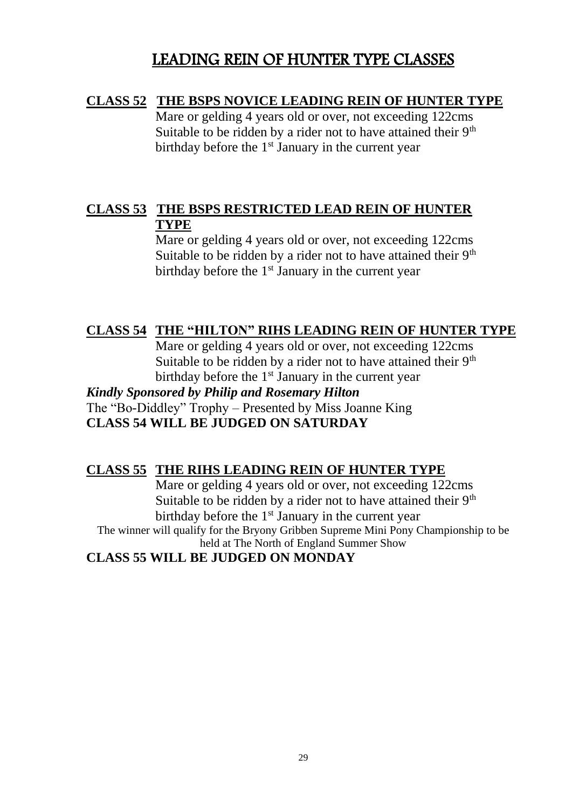## LEADING REIN OF HUNTER TYPE CLASSES

#### **CLASS 52 THE BSPS NOVICE LEADING REIN OF HUNTER TYPE**

Mare or gelding 4 years old or over, not exceeding 122cms Suitable to be ridden by a rider not to have attained their  $9<sup>th</sup>$ birthday before the 1<sup>st</sup> January in the current year

### **CLASS 53 THE BSPS RESTRICTED LEAD REIN OF HUNTER TYPE**

Mare or gelding 4 years old or over, not exceeding 122cms Suitable to be ridden by a rider not to have attained their  $9<sup>th</sup>$ birthday before the  $1<sup>st</sup>$  January in the current year

### **CLASS 54 THE "HILTON" RIHS LEADING REIN OF HUNTER TYPE**

Mare or gelding 4 years old or over, not exceeding 122cms Suitable to be ridden by a rider not to have attained their 9<sup>th</sup> birthday before the  $1<sup>st</sup>$  January in the current year

*Kindly Sponsored by Philip and Rosemary Hilton* The "Bo-Diddley" Trophy – Presented by Miss Joanne King **CLASS 54 WILL BE JUDGED ON SATURDAY**

#### **CLASS 55 THE RIHS LEADING REIN OF HUNTER TYPE**

Mare or gelding 4 years old or over, not exceeding 122cms Suitable to be ridden by a rider not to have attained their  $9<sup>th</sup>$ birthday before the  $1<sup>st</sup>$  January in the current year The winner will qualify for the Bryony Gribben Supreme Mini Pony Championship to be held at The North of England Summer Show

**CLASS 55 WILL BE JUDGED ON MONDAY**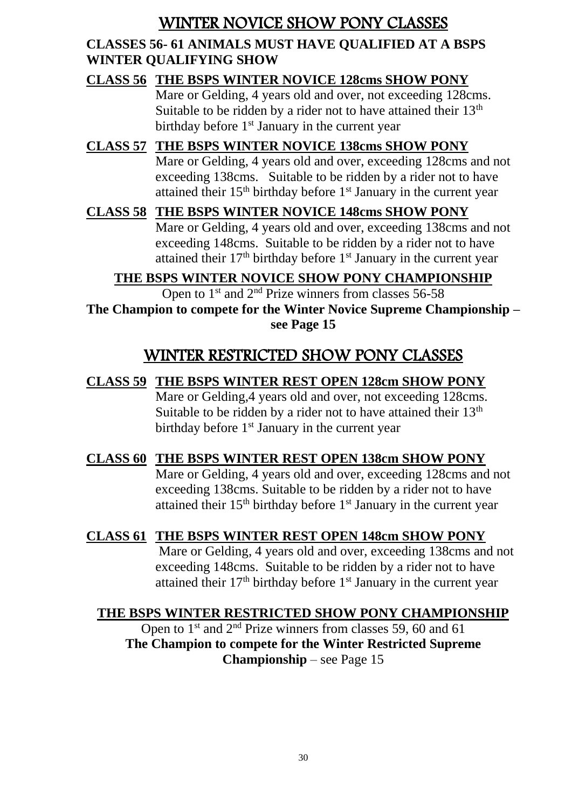## WINTER NOVICE SHOW PONY CLASSES

### **CLASSES 56- 61 ANIMALS MUST HAVE QUALIFIED AT A BSPS WINTER QUALIFYING SHOW**

**CLASS 56 THE BSPS WINTER NOVICE 128cms SHOW PONY** Mare or Gelding, 4 years old and over, not exceeding 128cms. Suitable to be ridden by a rider not to have attained their  $13<sup>th</sup>$ birthday before 1<sup>st</sup> January in the current year

**CLASS 57 THE BSPS WINTER NOVICE 138cms SHOW PONY** Mare or Gelding, 4 years old and over, exceeding 128cms and not exceeding 138cms. Suitable to be ridden by a rider not to have attained their  $15<sup>th</sup>$  birthday before  $1<sup>st</sup>$  January in the current year

# **CLASS 58 THE BSPS WINTER NOVICE 148cms SHOW PONY**

Mare or Gelding, 4 years old and over, exceeding 138cms and not exceeding 148cms. Suitable to be ridden by a rider not to have attained their  $17<sup>th</sup>$  birthday before  $1<sup>st</sup>$  January in the current year

## **THE BSPS WINTER NOVICE SHOW PONY CHAMPIONSHIP**

Open to  $1<sup>st</sup>$  and  $2<sup>nd</sup>$  Prize winners from classes 56-58 **The Champion to compete for the Winter Novice Supreme Championship – see Page 15**

# WINTER RESTRICTED SHOW PONY CLASSES

#### **CLASS 59 THE BSPS WINTER REST OPEN 128cm SHOW PONY** Mare or Gelding,4 years old and over, not exceeding 128cms. Suitable to be ridden by a rider not to have attained their 13<sup>th</sup> birthday before 1<sup>st</sup> January in the current year

## **CLASS 60 THE BSPS WINTER REST OPEN 138cm SHOW PONY**

Mare or Gelding, 4 years old and over, exceeding 128cms and not exceeding 138cms. Suitable to be ridden by a rider not to have attained their  $15<sup>th</sup>$  birthday before  $1<sup>st</sup>$  January in the current year

## **CLASS 61 THE BSPS WINTER REST OPEN 148cm SHOW PONY**

Mare or Gelding, 4 years old and over, exceeding 138cms and not exceeding 148cms. Suitable to be ridden by a rider not to have attained their  $17<sup>th</sup>$  birthday before  $1<sup>st</sup>$  January in the current year

## **THE BSPS WINTER RESTRICTED SHOW PONY CHAMPIONSHIP**

Open to  $1<sup>st</sup>$  and  $2<sup>nd</sup>$  Prize winners from classes 59, 60 and 61 **The Champion to compete for the Winter Restricted Supreme Championship** – see Page 15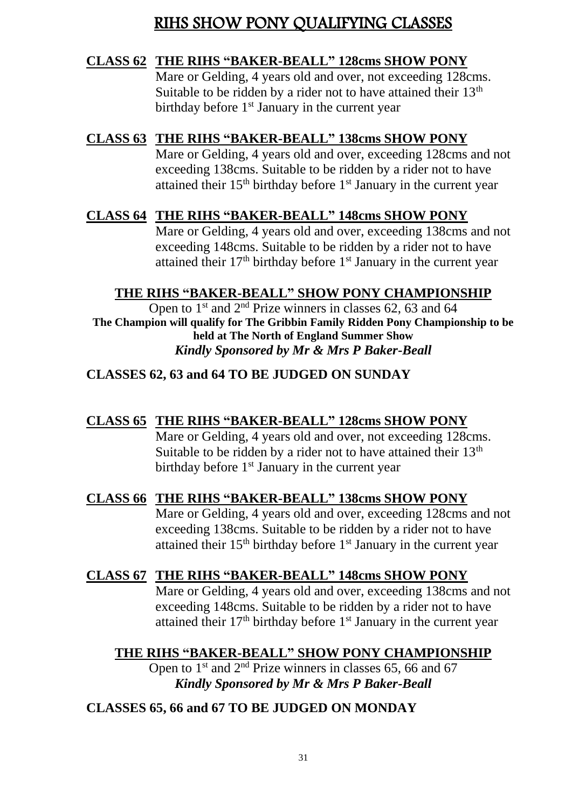## RIHS SHOW PONY QUALIFYING CLASSES

#### **CLASS 62 THE RIHS "BAKER-BEALL" 128cms SHOW PONY**

Mare or Gelding, 4 years old and over, not exceeding 128cms. Suitable to be ridden by a rider not to have attained their  $13<sup>th</sup>$ birthday before  $1<sup>st</sup>$  January in the current year

### **CLASS 63 THE RIHS "BAKER-BEALL" 138cms SHOW PONY**

Mare or Gelding, 4 years old and over, exceeding 128cms and not exceeding 138cms. Suitable to be ridden by a rider not to have attained their  $15<sup>th</sup>$  birthday before  $1<sup>st</sup>$  January in the current year

#### **CLASS 64 THE RIHS "BAKER-BEALL" 148cms SHOW PONY**

Mare or Gelding, 4 years old and over, exceeding 138cms and not exceeding 148cms. Suitable to be ridden by a rider not to have attained their  $17<sup>th</sup>$  birthday before  $1<sup>st</sup>$  January in the current year

#### **THE RIHS "BAKER-BEALL" SHOW PONY CHAMPIONSHIP**

Open to  $1<sup>st</sup>$  and  $2<sup>nd</sup>$  Prize winners in classes 62, 63 and 64 **The Champion will qualify for The Gribbin Family Ridden Pony Championship to be held at The North of England Summer Show** *Kindly Sponsored by Mr & Mrs P Baker-Beall*

#### **CLASSES 62, 63 and 64 TO BE JUDGED ON SUNDAY**

#### **CLASS 65 THE RIHS "BAKER-BEALL" 128cms SHOW PONY**

Mare or Gelding, 4 years old and over, not exceeding 128cms. Suitable to be ridden by a rider not to have attained their  $13<sup>th</sup>$ birthday before 1<sup>st</sup> January in the current year

#### **CLASS 66 THE RIHS "BAKER-BEALL" 138cms SHOW PONY**

Mare or Gelding, 4 years old and over, exceeding 128cms and not exceeding 138cms. Suitable to be ridden by a rider not to have attained their 15<sup>th</sup> birthday before 1<sup>st</sup> January in the current year

#### **CLASS 67 THE RIHS "BAKER-BEALL" 148cms SHOW PONY**

Mare or Gelding, 4 years old and over, exceeding 138cms and not exceeding 148cms. Suitable to be ridden by a rider not to have attained their 17<sup>th</sup> birthday before 1<sup>st</sup> January in the current year

#### **THE RIHS "BAKER-BEALL" SHOW PONY CHAMPIONSHIP**

Open to  $1<sup>st</sup>$  and  $2<sup>nd</sup>$  Prize winners in classes 65, 66 and 67 *Kindly Sponsored by Mr & Mrs P Baker-Beall*

#### **CLASSES 65, 66 and 67 TO BE JUDGED ON MONDAY**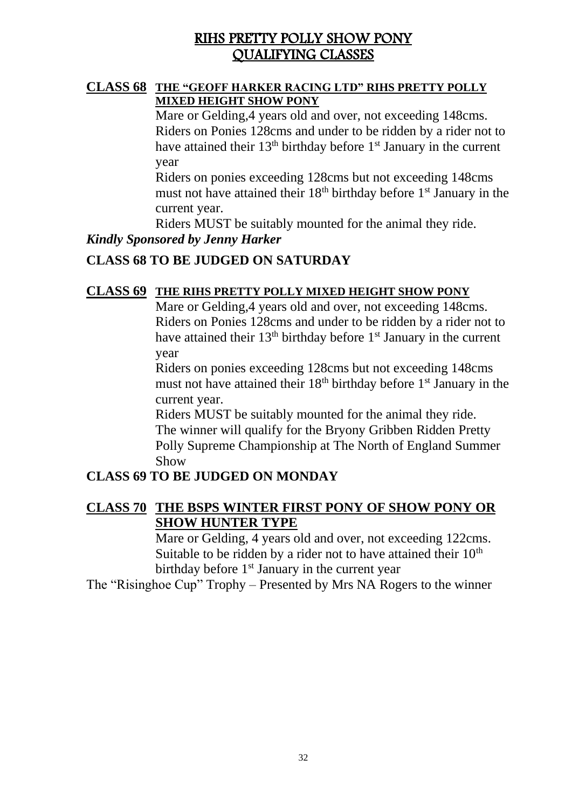## RIHS PRETTY POLLY SHOW PONY QUALIFYING CLASSES

#### **CLASS 68 THE "GEOFF HARKER RACING LTD" RIHS PRETTY POLLY MIXED HEIGHT SHOW PONY**

Mare or Gelding,4 years old and over, not exceeding 148cms. Riders on Ponies 128cms and under to be ridden by a rider not to have attained their  $13<sup>th</sup>$  birthday before  $1<sup>st</sup>$  January in the current year

Riders on ponies exceeding 128cms but not exceeding 148cms must not have attained their 18<sup>th</sup> birthday before 1<sup>st</sup> January in the current year.

Riders MUST be suitably mounted for the animal they ride.

#### *Kindly Sponsored by Jenny Harker*

#### **CLASS 68 TO BE JUDGED ON SATURDAY**

#### **CLASS 69 THE RIHS PRETTY POLLY MIXED HEIGHT SHOW PONY**

Mare or Gelding,4 years old and over, not exceeding 148cms. Riders on Ponies 128cms and under to be ridden by a rider not to have attained their 13<sup>th</sup> birthday before 1<sup>st</sup> January in the current year

Riders on ponies exceeding 128cms but not exceeding 148cms must not have attained their 18<sup>th</sup> birthday before 1<sup>st</sup> January in the current year.

Riders MUST be suitably mounted for the animal they ride. The winner will qualify for the Bryony Gribben Ridden Pretty Polly Supreme Championship at The North of England Summer Show

#### **CLASS 69 TO BE JUDGED ON MONDAY**

#### **CLASS 70 THE BSPS WINTER FIRST PONY OF SHOW PONY OR SHOW HUNTER TYPE**

Mare or Gelding, 4 years old and over, not exceeding 122cms. Suitable to be ridden by a rider not to have attained their  $10<sup>th</sup>$ birthday before  $1<sup>st</sup>$  January in the current year

The "Risinghoe Cup" Trophy – Presented by Mrs NA Rogers to the winner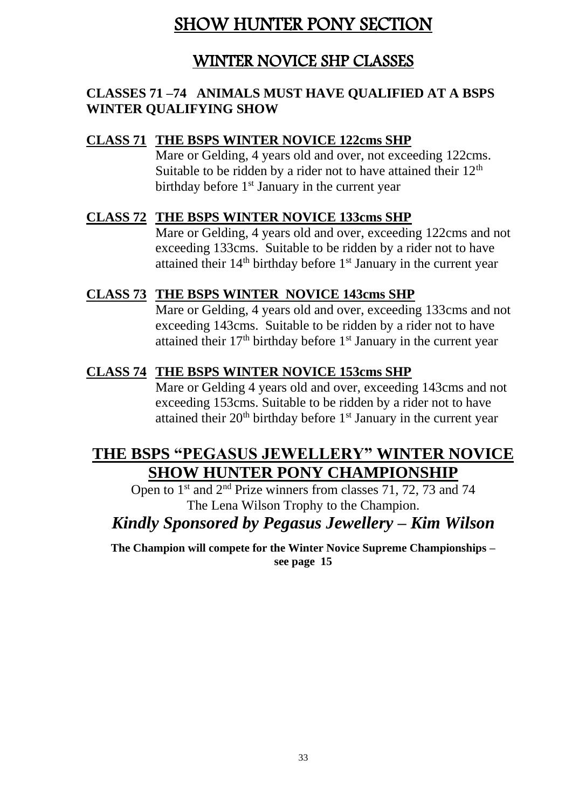# SHOW HUNTER PONY SECTION

## WINTER NOVICE SHP CLASSES

#### **CLASSES 71 –74 ANIMALS MUST HAVE QUALIFIED AT A BSPS WINTER QUALIFYING SHOW**

#### **CLASS 71 THE BSPS WINTER NOVICE 122cms SHP**

Mare or Gelding, 4 years old and over, not exceeding 122cms. Suitable to be ridden by a rider not to have attained their  $12<sup>th</sup>$ birthday before  $1<sup>st</sup>$  January in the current year

#### **CLASS 72 THE BSPS WINTER NOVICE 133cms SHP**

Mare or Gelding, 4 years old and over, exceeding 122cms and not exceeding 133cms. Suitable to be ridden by a rider not to have attained their 14<sup>th</sup> birthday before 1<sup>st</sup> January in the current year

#### **CLASS 73 THE BSPS WINTER NOVICE 143cms SHP**

Mare or Gelding, 4 years old and over, exceeding 133cms and not exceeding 143cms. Suitable to be ridden by a rider not to have attained their  $17<sup>th</sup>$  birthday before  $1<sup>st</sup>$  January in the current year

#### **CLASS 74 THE BSPS WINTER NOVICE 153cms SHP**

Mare or Gelding 4 years old and over, exceeding 143cms and not exceeding 153cms. Suitable to be ridden by a rider not to have attained their 20<sup>th</sup> birthday before 1<sup>st</sup> January in the current year

## **THE BSPS "PEGASUS JEWELLERY" WINTER NOVICE SHOW HUNTER PONY CHAMPIONSHIP**

Open to 1<sup>st</sup> and 2<sup>nd</sup> Prize winners from classes 71, 72, 73 and 74 The Lena Wilson Trophy to the Champion.

## *Kindly Sponsored by Pegasus Jewellery – Kim Wilson*

**The Champion will compete for the Winter Novice Supreme Championships – see page 15**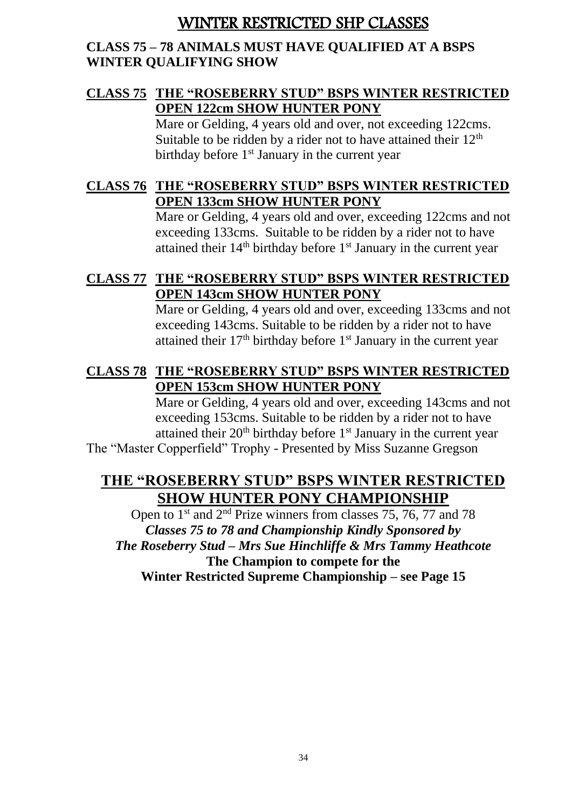## WINTER RESTRICTED SHP CLASSES

#### **CLASS 75 – 78 ANIMALS MUST HAVE QUALIFIED AT A BSPS WINTER QUALIFYING SHOW**

### **CLASS 75 THE "ROSEBERRY STUD" BSPS WINTER RESTRICTED OPEN 122cm SHOW HUNTER PONY**

Mare or Gelding, 4 years old and over, not exceeding 122cms. Suitable to be ridden by a rider not to have attained their  $12<sup>th</sup>$ birthday before 1<sup>st</sup> January in the current year

### **CLASS 76 THE "ROSEBERRY STUD" BSPS WINTER RESTRICTED OPEN 133cm SHOW HUNTER PONY**

Mare or Gelding, 4 years old and over, exceeding 122cms and not exceeding 133cms. Suitable to be ridden by a rider not to have attained their  $14<sup>th</sup>$  birthday before  $1<sup>st</sup>$  January in the current year

#### **CLASS 77 THE "ROSEBERRY STUD" BSPS WINTER RESTRICTED OPEN 143cm SHOW HUNTER PONY**

Mare or Gelding, 4 years old and over, exceeding 133cms and not exceeding 143cms. Suitable to be ridden by a rider not to have attained their  $17<sup>th</sup>$  birthday before  $1<sup>st</sup>$  January in the current year

### **CLASS 78 THE "ROSEBERRY STUD" BSPS WINTER RESTRICTED OPEN 153cm SHOW HUNTER PONY**

Mare or Gelding, 4 years old and over, exceeding 143cms and not exceeding 153cms. Suitable to be ridden by a rider not to have attained their  $20<sup>th</sup>$  birthday before  $1<sup>st</sup>$  January in the current year

The "Master Copperfield" Trophy - Presented by Miss Suzanne Gregson

## **THE "ROSEBERRY STUD" BSPS WINTER RESTRICTED SHOW HUNTER PONY CHAMPIONSHIP**

Open to 1<sup>st</sup> and  $2<sup>nd</sup>$  Prize winners from classes 75, 76, 77 and 78 *Classes 75 to 78 and Championship Kindly Sponsored by The Roseberry Stud – Mrs Sue Hinchliffe & Mrs Tammy Heathcote* **The Champion to compete for the Winter Restricted Supreme Championship – see Page 15**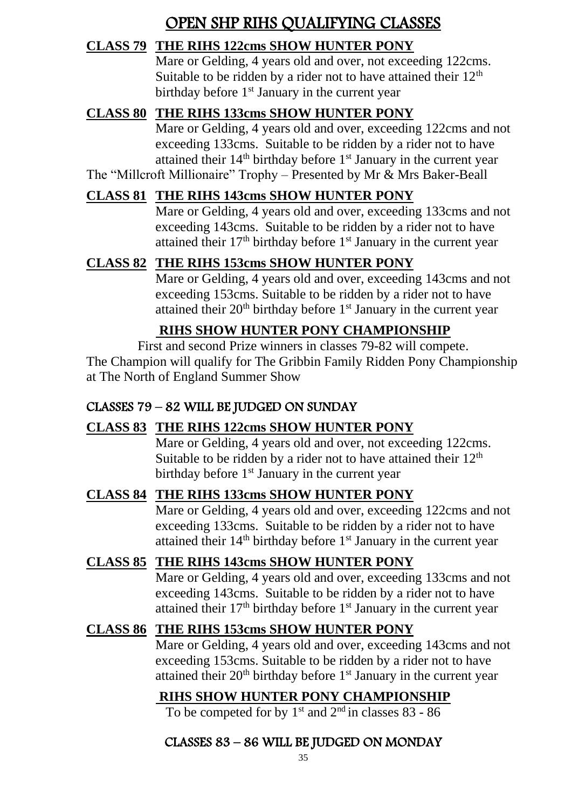# OPEN SHP RIHS QUALIFYING CLASSES

### **CLASS 79 THE RIHS 122cms SHOW HUNTER PONY**

Mare or Gelding, 4 years old and over, not exceeding 122cms. Suitable to be ridden by a rider not to have attained their  $12<sup>th</sup>$ birthday before  $1<sup>st</sup>$  January in the current year

### **CLASS 80 THE RIHS 133cms SHOW HUNTER PONY**

Mare or Gelding, 4 years old and over, exceeding 122cms and not exceeding 133cms. Suitable to be ridden by a rider not to have attained their  $14<sup>th</sup>$  birthday before  $1<sup>st</sup>$  January in the current year The "Millcroft Millionaire" Trophy – Presented by Mr & Mrs Baker-Beall

### **CLASS 81 THE RIHS 143cms SHOW HUNTER PONY**

Mare or Gelding, 4 years old and over, exceeding 133cms and not exceeding 143cms. Suitable to be ridden by a rider not to have attained their  $17<sup>th</sup>$  birthday before  $1<sup>st</sup>$  January in the current year

## **CLASS 82 THE RIHS 153cms SHOW HUNTER PONY**

Mare or Gelding, 4 years old and over, exceeding 143cms and not exceeding 153cms. Suitable to be ridden by a rider not to have attained their  $20<sup>th</sup>$  birthday before  $1<sup>st</sup>$  January in the current year

## **RIHS SHOW HUNTER PONY CHAMPIONSHIP**

First and second Prize winners in classes 79-82 will compete. The Champion will qualify for The Gribbin Family Ridden Pony Championship at The North of England Summer Show

#### CLASSES 79 – 82 WILL BE JUDGED ON SUNDAY

## **CLASS 83 THE RIHS 122cms SHOW HUNTER PONY**

Mare or Gelding, 4 years old and over, not exceeding 122cms. Suitable to be ridden by a rider not to have attained their  $12<sup>th</sup>$ birthday before  $1<sup>st</sup>$  January in the current year

#### **CLASS 84 THE RIHS 133cms SHOW HUNTER PONY**

Mare or Gelding, 4 years old and over, exceeding 122cms and not exceeding 133cms. Suitable to be ridden by a rider not to have attained their  $14<sup>th</sup>$  birthday before  $1<sup>st</sup>$  January in the current year

#### **CLASS 85 THE RIHS 143cms SHOW HUNTER PONY**

Mare or Gelding, 4 years old and over, exceeding 133cms and not exceeding 143cms. Suitable to be ridden by a rider not to have attained their  $17<sup>th</sup>$  birthday before  $1<sup>st</sup>$  January in the current year

## **CLASS 86 THE RIHS 153cms SHOW HUNTER PONY**

Mare or Gelding, 4 years old and over, exceeding 143cms and not exceeding 153cms. Suitable to be ridden by a rider not to have attained their  $20<sup>th</sup>$  birthday before  $1<sup>st</sup>$  January in the current year

## **RIHS SHOW HUNTER PONY CHAMPIONSHIP**

To be competed for by  $1<sup>st</sup>$  and  $2<sup>nd</sup>$  in classes 83 - 86

### CLASSES 83 – 86 WILL BE JUDGED ON MONDAY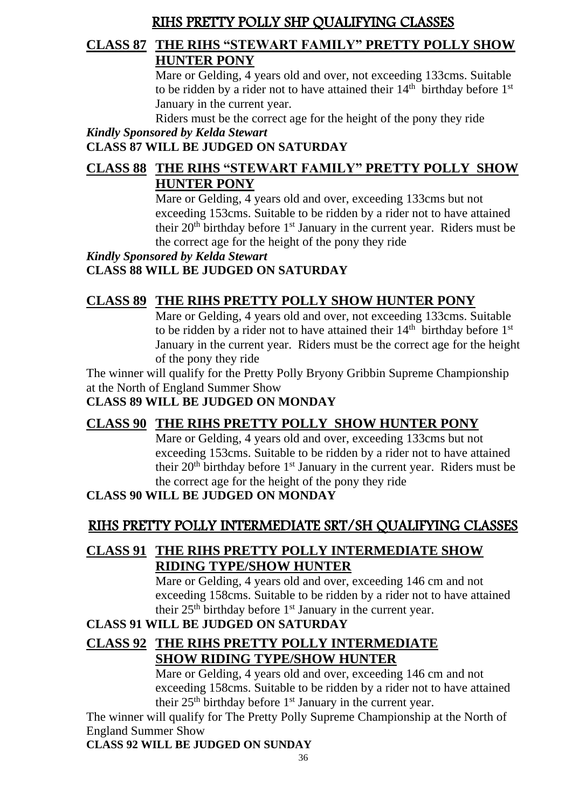## RIHS PRETTY POLLY SHP QUALIFYING CLASSES

#### **CLASS 87 THE RIHS "STEWART FAMILY" PRETTY POLLY SHOW HUNTER PONY**

Mare or Gelding, 4 years old and over, not exceeding 133cms. Suitable to be ridden by a rider not to have attained their  $14<sup>th</sup>$  birthday before  $1<sup>st</sup>$ January in the current year.

Riders must be the correct age for the height of the pony they ride

#### *Kindly Sponsored by Kelda Stewart*

#### **CLASS 87 WILL BE JUDGED ON SATURDAY**

## **CLASS 88 THE RIHS "STEWART FAMILY" PRETTY POLLY SHOW HUNTER PONY**

Mare or Gelding, 4 years old and over, exceeding 133cms but not exceeding 153cms. Suitable to be ridden by a rider not to have attained their  $20<sup>th</sup>$  birthday before  $1<sup>st</sup>$  January in the current year. Riders must be the correct age for the height of the pony they ride

#### *Kindly Sponsored by Kelda Stewart* **CLASS 88 WILL BE JUDGED ON SATURDAY**

## **CLASS 89 THE RIHS PRETTY POLLY SHOW HUNTER PONY**

Mare or Gelding, 4 years old and over, not exceeding 133cms. Suitable to be ridden by a rider not to have attained their  $14<sup>th</sup>$  birthday before  $1<sup>st</sup>$ January in the current year. Riders must be the correct age for the height of the pony they ride

The winner will qualify for the Pretty Polly Bryony Gribbin Supreme Championship at the North of England Summer Show

#### **CLASS 89 WILL BE JUDGED ON MONDAY**

## **CLASS 90 THE RIHS PRETTY POLLY SHOW HUNTER PONY**

Mare or Gelding, 4 years old and over, exceeding 133cms but not exceeding 153cms. Suitable to be ridden by a rider not to have attained their  $20<sup>th</sup>$  birthday before  $1<sup>st</sup>$  January in the current year. Riders must be the correct age for the height of the pony they ride

#### **CLASS 90 WILL BE JUDGED ON MONDAY**

## RIHS PRETTY POLLY INTERMEDIATE SRT/SH QUALIFYING CLASSES

### **CLASS 91 THE RIHS PRETTY POLLY INTERMEDIATE SHOW RIDING TYPE/SHOW HUNTER**

Mare or Gelding, 4 years old and over, exceeding 146 cm and not exceeding 158cms. Suitable to be ridden by a rider not to have attained their  $25<sup>th</sup>$  birthday before  $1<sup>st</sup>$  January in the current year.

#### **CLASS 91 WILL BE JUDGED ON SATURDAY**

## **CLASS 92 THE RIHS PRETTY POLLY INTERMEDIATE SHOW RIDING TYPE/SHOW HUNTER**

Mare or Gelding, 4 years old and over, exceeding 146 cm and not exceeding 158cms. Suitable to be ridden by a rider not to have attained their  $25<sup>th</sup>$  birthday before  $1<sup>st</sup>$  January in the current year.

The winner will qualify for The Pretty Polly Supreme Championship at the North of England Summer Show

**CLASS 92 WILL BE JUDGED ON SUNDAY**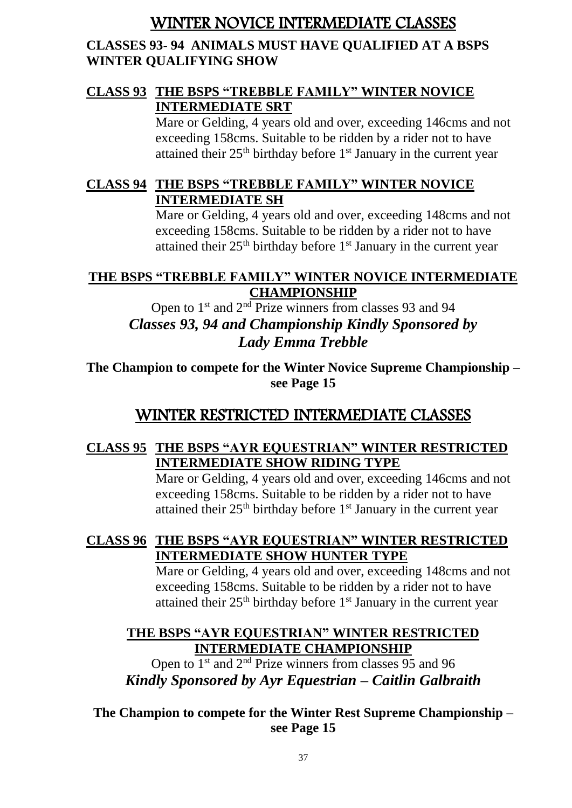## WINTER NOVICE INTERMEDIATE CLASSES

#### **CLASSES 93- 94 ANIMALS MUST HAVE QUALIFIED AT A BSPS WINTER QUALIFYING SHOW**

#### **CLASS 93 THE BSPS "TREBBLE FAMILY" WINTER NOVICE INTERMEDIATE SRT**

Mare or Gelding, 4 years old and over, exceeding 146cms and not exceeding 158cms. Suitable to be ridden by a rider not to have attained their  $25<sup>th</sup>$  birthday before  $1<sup>st</sup>$  January in the current year

## **CLASS 94 THE BSPS "TREBBLE FAMILY" WINTER NOVICE INTERMEDIATE SH**

Mare or Gelding, 4 years old and over, exceeding 148cms and not exceeding 158cms. Suitable to be ridden by a rider not to have attained their  $25<sup>th</sup>$  birthday before  $1<sup>st</sup>$  January in the current year

#### **THE BSPS "TREBBLE FAMILY" WINTER NOVICE INTERMEDIATE CHAMPIONSHIP**

Open to 1<sup>st</sup> and 2<sup>nd</sup> Prize winners from classes 93 and 94 *Classes 93, 94 and Championship Kindly Sponsored by Lady Emma Trebble*

**The Champion to compete for the Winter Novice Supreme Championship – see Page 15**

## WINTER RESTRICTED INTERMEDIATE CLASSES

### **CLASS 95 THE BSPS "AYR EQUESTRIAN" WINTER RESTRICTED INTERMEDIATE SHOW RIDING TYPE**

Mare or Gelding, 4 years old and over, exceeding 146cms and not exceeding 158cms. Suitable to be ridden by a rider not to have attained their  $25<sup>th</sup>$  birthday before  $1<sup>st</sup>$  January in the current year

#### **CLASS 96 THE BSPS "AYR EQUESTRIAN" WINTER RESTRICTED INTERMEDIATE SHOW HUNTER TYPE**

Mare or Gelding, 4 years old and over, exceeding 148cms and not exceeding 158cms. Suitable to be ridden by a rider not to have attained their  $25<sup>th</sup>$  birthday before  $1<sup>st</sup>$  January in the current year

### **THE BSPS "AYR EQUESTRIAN" WINTER RESTRICTED INTERMEDIATE CHAMPIONSHIP**

Open to 1st and 2nd Prize winners from classes 95 and 96 *Kindly Sponsored by Ayr Equestrian – Caitlin Galbraith*

**The Champion to compete for the Winter Rest Supreme Championship – see Page 15**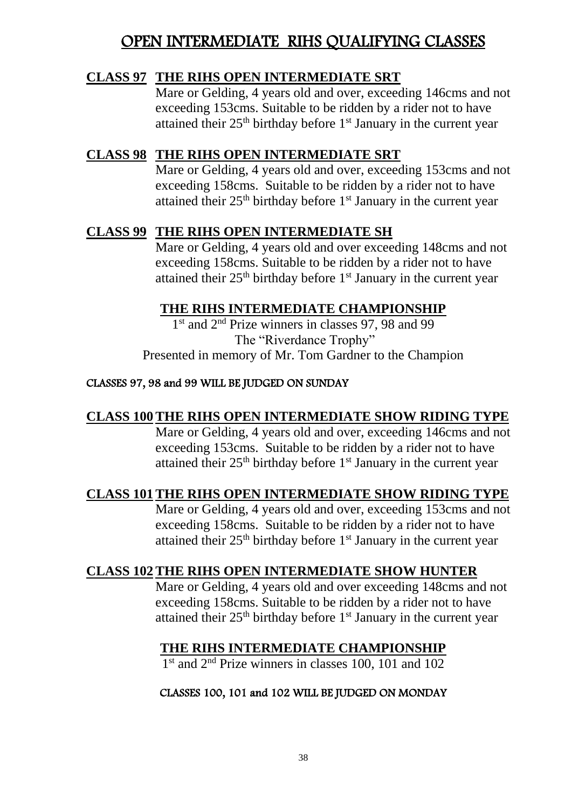## OPEN INTERMEDIATE RIHS QUALIFYING CLASSES

#### **CLASS 97 THE RIHS OPEN INTERMEDIATE SRT**

Mare or Gelding, 4 years old and over, exceeding 146cms and not exceeding 153cms. Suitable to be ridden by a rider not to have attained their  $25<sup>th</sup>$  birthday before  $1<sup>st</sup>$  January in the current year

### **CLASS 98 THE RIHS OPEN INTERMEDIATE SRT**

Mare or Gelding, 4 years old and over, exceeding 153cms and not exceeding 158cms. Suitable to be ridden by a rider not to have attained their 25<sup>th</sup> birthday before 1<sup>st</sup> January in the current year

#### **CLASS 99 THE RIHS OPEN INTERMEDIATE SH**

Mare or Gelding, 4 years old and over exceeding 148cms and not exceeding 158cms. Suitable to be ridden by a rider not to have attained their  $25<sup>th</sup>$  birthday before  $1<sup>st</sup>$  January in the current year

#### **THE RIHS INTERMEDIATE CHAMPIONSHIP**

1 st and 2nd Prize winners in classes 97, 98 and 99 The "Riverdance Trophy" Presented in memory of Mr. Tom Gardner to the Champion

#### CLASSES 97, 98 and 99 WILL BE JUDGED ON SUNDAY

#### **CLASS 100THE RIHS OPEN INTERMEDIATE SHOW RIDING TYPE**

Mare or Gelding, 4 years old and over, exceeding 146cms and not exceeding 153cms. Suitable to be ridden by a rider not to have attained their  $25<sup>th</sup>$  birthday before  $1<sup>st</sup>$  January in the current year

#### **CLASS 101THE RIHS OPEN INTERMEDIATE SHOW RIDING TYPE**

Mare or Gelding, 4 years old and over, exceeding 153cms and not exceeding 158cms. Suitable to be ridden by a rider not to have attained their  $25<sup>th</sup>$  birthday before  $1<sup>st</sup>$  January in the current year

#### **CLASS 102THE RIHS OPEN INTERMEDIATE SHOW HUNTER**

Mare or Gelding, 4 years old and over exceeding 148cms and not exceeding 158cms. Suitable to be ridden by a rider not to have attained their  $25<sup>th</sup>$  birthday before  $1<sup>st</sup>$  January in the current year

#### **THE RIHS INTERMEDIATE CHAMPIONSHIP**

1 st and 2nd Prize winners in classes 100, 101 and 102

#### CLASSES 100, 101 and 102 WILL BE JUDGED ON MONDAY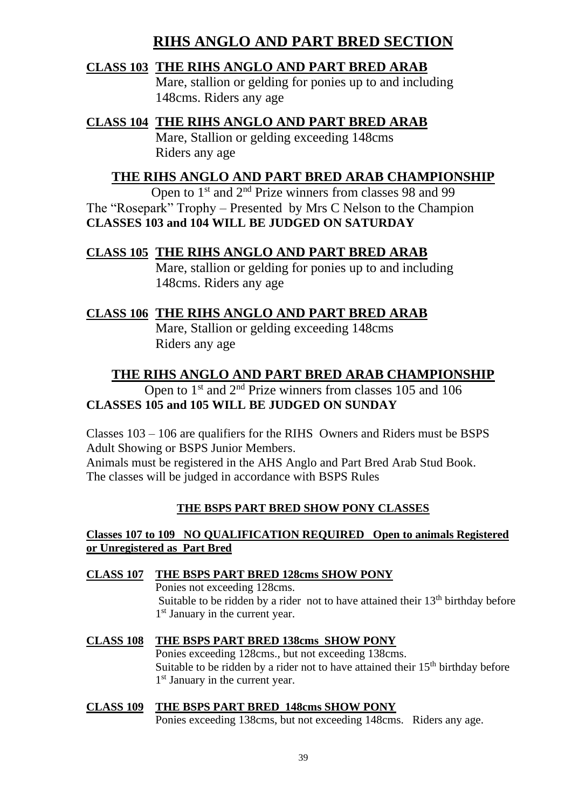## **RIHS ANGLO AND PART BRED SECTION**

#### **CLASS 103 THE RIHS ANGLO AND PART BRED ARAB**

Mare, stallion or gelding for ponies up to and including 148cms. Riders any age

**CLASS 104 THE RIHS ANGLO AND PART BRED ARAB** Mare, Stallion or gelding exceeding 148cms Riders any age

#### **THE RIHS ANGLO AND PART BRED ARAB CHAMPIONSHIP**

Open to 1<sup>st</sup> and 2<sup>nd</sup> Prize winners from classes 98 and 99 The "Rosepark" Trophy – Presented by Mrs C Nelson to the Champion **CLASSES 103 and 104 WILL BE JUDGED ON SATURDAY**

#### **CLASS 105 THE RIHS ANGLO AND PART BRED ARAB**

Mare, stallion or gelding for ponies up to and including 148cms. Riders any age

#### **CLASS 106 THE RIHS ANGLO AND PART BRED ARAB**

Mare, Stallion or gelding exceeding 148cms Riders any age

### **THE RIHS ANGLO AND PART BRED ARAB CHAMPIONSHIP**

#### Open to  $1<sup>st</sup>$  and  $2<sup>nd</sup>$  Prize winners from classes 105 and 106 **CLASSES 105 and 105 WILL BE JUDGED ON SUNDAY**

Classes 103 – 106 are qualifiers for the RIHS Owners and Riders must be BSPS Adult Showing or BSPS Junior Members.

Animals must be registered in the AHS Anglo and Part Bred Arab Stud Book. The classes will be judged in accordance with BSPS Rules

#### **THE BSPS PART BRED SHOW PONY CLASSES**

#### **Classes 107 to 109 NO QUALIFICATION REQUIRED Open to animals Registered or Unregistered as Part Bred**

#### **CLASS 107 THE BSPS PART BRED 128cms SHOW PONY**

Ponies not exceeding 128cms. Suitable to be ridden by a rider not to have attained their  $13<sup>th</sup>$  birthday before 1<sup>st</sup> January in the current year.

#### **CLASS 108 THE BSPS PART BRED 138cms SHOW PONY**

Ponies exceeding 128cms., but not exceeding 138cms. Suitable to be ridden by a rider not to have attained their  $15<sup>th</sup>$  birthday before 1<sup>st</sup> January in the current year.

# **CLASS 109 THE BSPS PART BRED 148cms SHOW PONY**

Ponies exceeding 138cms, but not exceeding 148cms. Riders any age.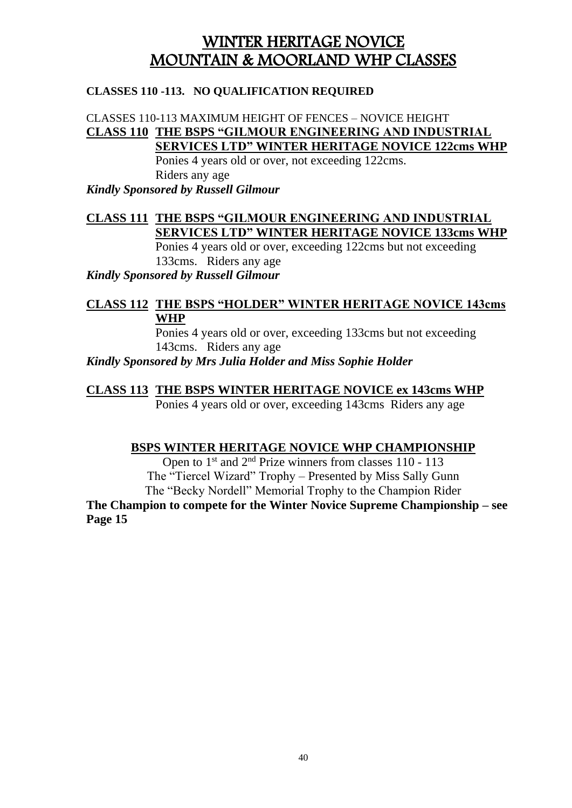## WINTER HERITAGE NOVICE MOUNTAIN & MOORLAND WHP CLASSES

#### **CLASSES 110 -113. NO QUALIFICATION REQUIRED**

#### CLASSES 110-113 MAXIMUM HEIGHT OF FENCES – NOVICE HEIGHT **CLASS 110 THE BSPS "GILMOUR ENGINEERING AND INDUSTRIAL SERVICES LTD" WINTER HERITAGE NOVICE 122cms WHP**

Ponies 4 years old or over, not exceeding 122cms. Riders any age *Kindly Sponsored by Russell Gilmour*

### **CLASS 111 THE BSPS "GILMOUR ENGINEERING AND INDUSTRIAL SERVICES LTD" WINTER HERITAGE NOVICE 133cms WHP**

Ponies 4 years old or over, exceeding 122cms but not exceeding 133cms. Riders any age

*Kindly Sponsored by Russell Gilmour*

#### **CLASS 112 THE BSPS "HOLDER" WINTER HERITAGE NOVICE 143cms WHP**

Ponies 4 years old or over, exceeding 133cms but not exceeding 143cms. Riders any age

*Kindly Sponsored by Mrs Julia Holder and Miss Sophie Holder*

#### **CLASS 113 THE BSPS WINTER HERITAGE NOVICE ex 143cms WHP**

Ponies 4 years old or over, exceeding 143cms Riders any age

#### **BSPS WINTER HERITAGE NOVICE WHP CHAMPIONSHIP**

Open to 1<sup>st</sup> and 2<sup>nd</sup> Prize winners from classes 110 - 113 The "Tiercel Wizard" Trophy – Presented by Miss Sally Gunn The "Becky Nordell" Memorial Trophy to the Champion Rider **The Champion to compete for the Winter Novice Supreme Championship – see Page 15**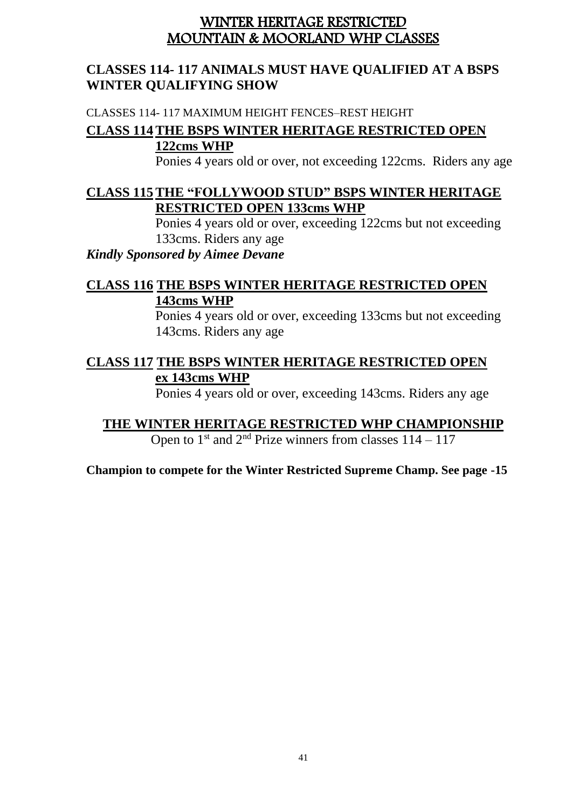### WINTER HERITAGE RESTRICTED MOUNTAIN & MOORLAND WHP CLASSES

#### **CLASSES 114- 117 ANIMALS MUST HAVE QUALIFIED AT A BSPS WINTER QUALIFYING SHOW**

CLASSES 114- 117 MAXIMUM HEIGHT FENCES–REST HEIGHT

#### **CLASS 114THE BSPS WINTER HERITAGE RESTRICTED OPEN 122cms WHP**

Ponies 4 years old or over, not exceeding 122cms. Riders any age

#### **CLASS 115THE "FOLLYWOOD STUD" BSPS WINTER HERITAGE RESTRICTED OPEN 133cms WHP**

Ponies 4 years old or over, exceeding 122cms but not exceeding 133cms. Riders any age

*Kindly Sponsored by Aimee Devane*

### **CLASS 116 THE BSPS WINTER HERITAGE RESTRICTED OPEN 143cms WHP**

Ponies 4 years old or over, exceeding 133cms but not exceeding 143cms. Riders any age

#### **CLASS 117 THE BSPS WINTER HERITAGE RESTRICTED OPEN ex 143cms WHP**

Ponies 4 years old or over, exceeding 143cms. Riders any age

**THE WINTER HERITAGE RESTRICTED WHP CHAMPIONSHIP** Open to  $1^{\text{st}}$  and  $2^{\text{nd}}$  Prize winners from classes  $114 - 117$ 

**Champion to compete for the Winter Restricted Supreme Champ. See page -15**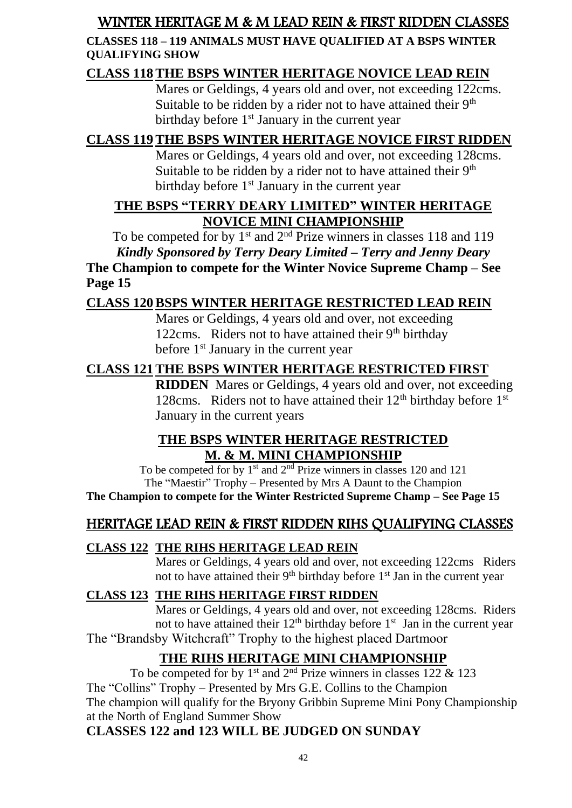## WINTER HERITAGE M & M LEAD REIN & FIRST RIDDEN CLASSES

#### **CLASSES 118 – 119 ANIMALS MUST HAVE QUALIFIED AT A BSPS WINTER QUALIFYING SHOW**

### **CLASS 118THE BSPS WINTER HERITAGE NOVICE LEAD REIN**

Mares or Geldings, 4 years old and over, not exceeding 122cms. Suitable to be ridden by a rider not to have attained their  $9<sup>th</sup>$ birthday before  $1<sup>st</sup>$  January in the current year

## **CLASS 119THE BSPS WINTER HERITAGE NOVICE FIRST RIDDEN**

Mares or Geldings, 4 years old and over, not exceeding 128cms. Suitable to be ridden by a rider not to have attained their  $9<sup>th</sup>$ birthday before  $1<sup>st</sup>$  January in the current year

### **THE BSPS "TERRY DEARY LIMITED" WINTER HERITAGE NOVICE MINI CHAMPIONSHIP**

To be competed for by  $1<sup>st</sup>$  and  $2<sup>nd</sup>$  Prize winners in classes 118 and 119 *Kindly Sponsored by Terry Deary Limited – Terry and Jenny Deary* **The Champion to compete for the Winter Novice Supreme Champ – See Page 15**

## **CLASS 120BSPS WINTER HERITAGE RESTRICTED LEAD REIN**

Mares or Geldings, 4 years old and over, not exceeding 122cms. Riders not to have attained their  $9<sup>th</sup>$  birthday before  $1<sup>st</sup>$  January in the current year

### **CLASS 121THE BSPS WINTER HERITAGE RESTRICTED FIRST**

**RIDDEN** Mares or Geldings, 4 years old and over, not exceeding 128cms. Riders not to have attained their  $12<sup>th</sup>$  birthday before  $1<sup>st</sup>$ January in the current years

#### **THE BSPS WINTER HERITAGE RESTRICTED M. & M. MINI CHAMPIONSHIP**

To be competed for by  $1<sup>st</sup>$  and  $2<sup>nd</sup>$  Prize winners in classes 120 and 121 The "Maestir" Trophy – Presented by Mrs A Daunt to the Champion **The Champion to compete for the Winter Restricted Supreme Champ – See Page 15**

## HERITAGE LEAD REIN & FIRST RIDDEN RIHS QUALIFYING CLASSES

#### **CLASS 122 THE RIHS HERITAGE LEAD REIN**

Mares or Geldings, 4 years old and over, not exceeding 122cms Riders not to have attained their 9<sup>th</sup> birthday before 1<sup>st</sup> Jan in the current year

#### **CLASS 123 THE RIHS HERITAGE FIRST RIDDEN**

Mares or Geldings, 4 years old and over, not exceeding 128cms. Riders not to have attained their  $12<sup>th</sup>$  birthday before  $1<sup>st</sup>$  Jan in the current year The "Brandsby Witchcraft" Trophy to the highest placed Dartmoor

## **THE RIHS HERITAGE MINI CHAMPIONSHIP**

To be competed for by 1<sup>st</sup> and 2<sup>nd</sup> Prize winners in classes 122 & 123 The "Collins" Trophy – Presented by Mrs G.E. Collins to the Champion The champion will qualify for the Bryony Gribbin Supreme Mini Pony Championship at the North of England Summer Show

#### **CLASSES 122 and 123 WILL BE JUDGED ON SUNDAY**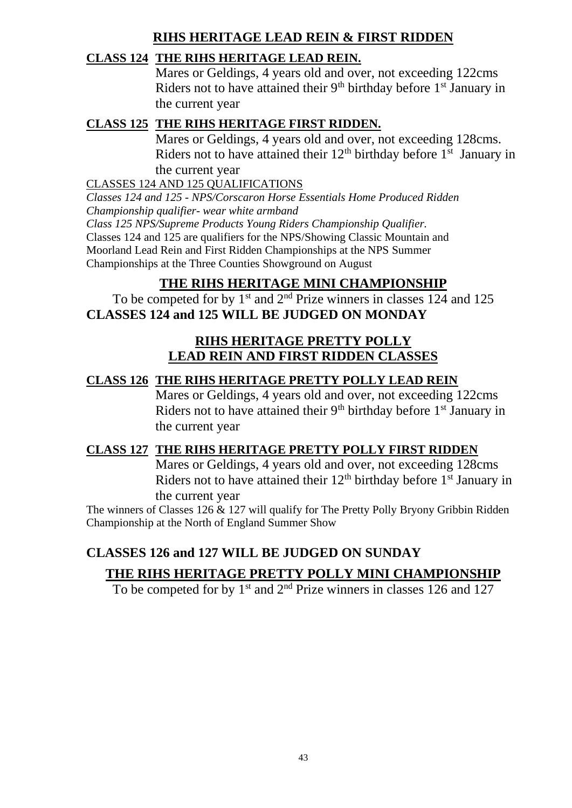### **RIHS HERITAGE LEAD REIN & FIRST RIDDEN**

#### **CLASS 124 THE RIHS HERITAGE LEAD REIN.**

Mares or Geldings, 4 years old and over, not exceeding 122cms Riders not to have attained their  $9<sup>th</sup>$  birthday before  $1<sup>st</sup>$  January in the current year

#### **CLASS 125 THE RIHS HERITAGE FIRST RIDDEN.**

Mares or Geldings, 4 years old and over, not exceeding 128cms. Riders not to have attained their  $12<sup>th</sup>$  birthday before  $1<sup>st</sup>$  January in the current year

CLASSES 124 AND 125 QUALIFICATIONS

*Classes 124 and 125 - NPS/Corscaron Horse Essentials Home Produced Ridden Championship qualifier- wear white armband Class 125 NPS/Supreme Products Young Riders Championship Qualifier.* Classes 124 and 125 are qualifiers for the NPS/Showing Classic Mountain and

Moorland Lead Rein and First Ridden Championships at the NPS Summer Championships at the Three Counties Showground on August

### **THE RIHS HERITAGE MINI CHAMPIONSHIP**

To be competed for by  $1<sup>st</sup>$  and  $2<sup>nd</sup>$  Prize winners in classes 124 and 125 **CLASSES 124 and 125 WILL BE JUDGED ON MONDAY**

#### **RIHS HERITAGE PRETTY POLLY LEAD REIN AND FIRST RIDDEN CLASSES**

#### **CLASS 126 THE RIHS HERITAGE PRETTY POLLY LEAD REIN**

Mares or Geldings, 4 years old and over, not exceeding 122cms Riders not to have attained their  $9<sup>th</sup>$  birthday before  $1<sup>st</sup>$  January in the current year

#### **CLASS 127 THE RIHS HERITAGE PRETTY POLLY FIRST RIDDEN**

Mares or Geldings, 4 years old and over, not exceeding 128cms Riders not to have attained their  $12<sup>th</sup>$  birthday before  $1<sup>st</sup>$  January in the current year

The winners of Classes 126 & 127 will qualify for The Pretty Polly Bryony Gribbin Ridden Championship at the North of England Summer Show

## **CLASSES 126 and 127 WILL BE JUDGED ON SUNDAY**

## **THE RIHS HERITAGE PRETTY POLLY MINI CHAMPIONSHIP**

To be competed for by  $1<sup>st</sup>$  and  $2<sup>nd</sup>$  Prize winners in classes 126 and 127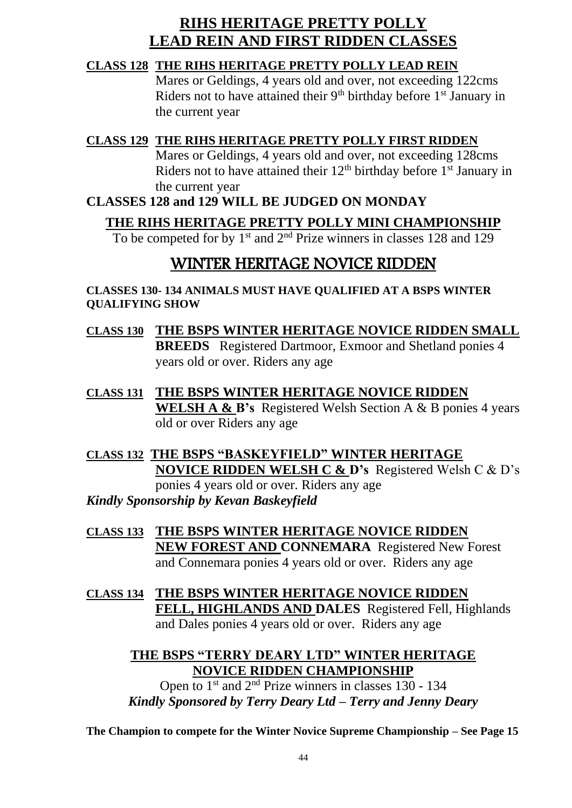## **RIHS HERITAGE PRETTY POLLY LEAD REIN AND FIRST RIDDEN CLASSES**

#### **CLASS 128 THE RIHS HERITAGE PRETTY POLLY LEAD REIN**

Mares or Geldings, 4 years old and over, not exceeding 122cms Riders not to have attained their  $9<sup>th</sup>$  birthday before  $1<sup>st</sup>$  January in the current year

#### **CLASS 129 THE RIHS HERITAGE PRETTY POLLY FIRST RIDDEN**

Mares or Geldings, 4 years old and over, not exceeding 128cms Riders not to have attained their  $12<sup>th</sup>$  birthday before  $1<sup>st</sup>$  January in the current year

#### **CLASSES 128 and 129 WILL BE JUDGED ON MONDAY**

## **THE RIHS HERITAGE PRETTY POLLY MINI CHAMPIONSHIP**

To be competed for by 1<sup>st</sup> and 2<sup>nd</sup> Prize winners in classes 128 and 129

## WINTER HERITAGE NOVICE RIDDEN

**CLASSES 130- 134 ANIMALS MUST HAVE QUALIFIED AT A BSPS WINTER QUALIFYING SHOW**

- **CLASS 130 THE BSPS WINTER HERITAGE NOVICE RIDDEN SMALL BREEDS** Registered Dartmoor, Exmoor and Shetland ponies 4 years old or over. Riders any age
- **CLASS 131 THE BSPS WINTER HERITAGE NOVICE RIDDEN WELSH A & B's** Registered Welsh Section A & B ponies 4 years old or over Riders any age
- **CLASS 132 THE BSPS "BASKEYFIELD" WINTER HERITAGE NOVICE RIDDEN WELSH C & D's** Registered Welsh C & D's ponies 4 years old or over. Riders any age *Kindly Sponsorship by Kevan Baskeyfield*
- **CLASS 133 THE BSPS WINTER HERITAGE NOVICE RIDDEN NEW FOREST AND CONNEMARA** Registered New Forest and Connemara ponies 4 years old or over. Riders any age
- **CLASS 134 THE BSPS WINTER HERITAGE NOVICE RIDDEN FELL, HIGHLANDS AND DALES** Registered Fell, Highlands and Dales ponies 4 years old or over. Riders any age

#### **THE BSPS "TERRY DEARY LTD" WINTER HERITAGE NOVICE RIDDEN CHAMPIONSHIP**

Open to  $1^{st}$  and  $2^{nd}$  Prize winners in classes 130 - 134 *Kindly Sponsored by Terry Deary Ltd – Terry and Jenny Deary*

**The Champion to compete for the Winter Novice Supreme Championship – See Page 15**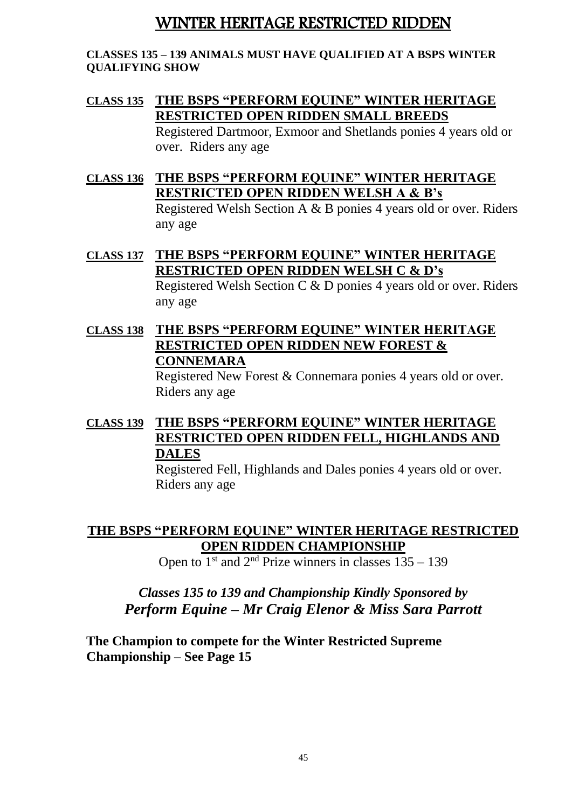## WINTER HERITAGE RESTRICTED RIDDEN

#### **CLASSES 135 – 139 ANIMALS MUST HAVE QUALIFIED AT A BSPS WINTER QUALIFYING SHOW**

### **CLASS 135 THE BSPS "PERFORM EQUINE" WINTER HERITAGE RESTRICTED OPEN RIDDEN SMALL BREEDS**

Registered Dartmoor, Exmoor and Shetlands ponies 4 years old or over. Riders any age

**CLASS 136 THE BSPS "PERFORM EQUINE" WINTER HERITAGE RESTRICTED OPEN RIDDEN WELSH A & B's** Registered Welsh Section A & B ponies 4 years old or over. Riders

any age

## **CLASS 137 THE BSPS "PERFORM EQUINE" WINTER HERITAGE RESTRICTED OPEN RIDDEN WELSH C & D's**

Registered Welsh Section C & D ponies 4 years old or over. Riders any age

### **CLASS 138 THE BSPS "PERFORM EQUINE" WINTER HERITAGE RESTRICTED OPEN RIDDEN NEW FOREST & CONNEMARA**

Registered New Forest & Connemara ponies 4 years old or over. Riders any age

### **CLASS 139 THE BSPS "PERFORM EQUINE" WINTER HERITAGE RESTRICTED OPEN RIDDEN FELL, HIGHLANDS AND DALES**

Registered Fell, Highlands and Dales ponies 4 years old or over. Riders any age

#### **THE BSPS "PERFORM EQUINE" WINTER HERITAGE RESTRICTED OPEN RIDDEN CHAMPIONSHIP**

Open to  $1<sup>st</sup>$  and  $2<sup>nd</sup>$  Prize winners in classes  $135 - 139$ 

## *Classes 135 to 139 and Championship Kindly Sponsored by Perform Equine – Mr Craig Elenor & Miss Sara Parrott*

**The Champion to compete for the Winter Restricted Supreme Championship – See Page 15**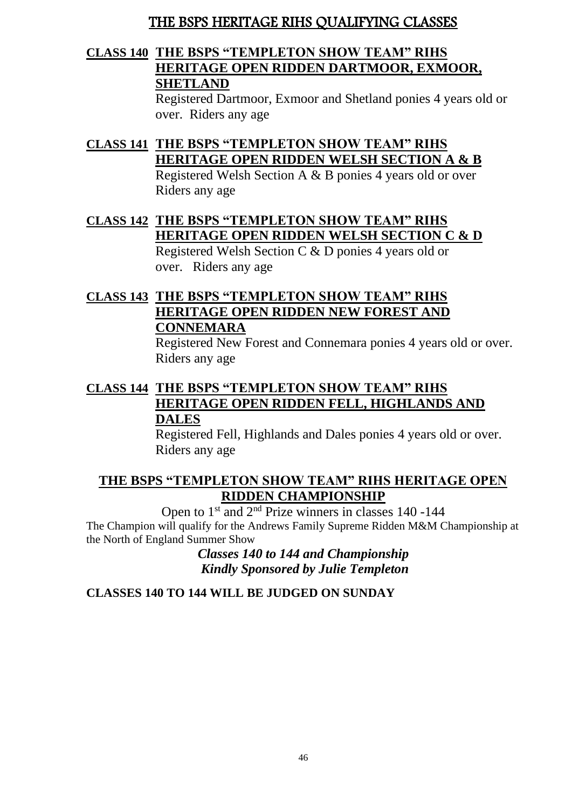## THE BSPS HERITAGE RIHS QUALIFYING CLASSES

#### **CLASS 140 THE BSPS "TEMPLETON SHOW TEAM" RIHS HERITAGE OPEN RIDDEN DARTMOOR, EXMOOR, SHETLAND**

Registered Dartmoor, Exmoor and Shetland ponies 4 years old or over. Riders any age

#### **CLASS 141 THE BSPS "TEMPLETON SHOW TEAM" RIHS HERITAGE OPEN RIDDEN WELSH SECTION A & B** Registered Welsh Section A & B ponies 4 years old or over Riders any age

**CLASS 142 THE BSPS "TEMPLETON SHOW TEAM" RIHS HERITAGE OPEN RIDDEN WELSH SECTION C & D** Registered Welsh Section C & D ponies 4 years old or

over. Riders any age

### **CLASS 143 THE BSPS "TEMPLETON SHOW TEAM" RIHS HERITAGE OPEN RIDDEN NEW FOREST AND CONNEMARA**

Registered New Forest and Connemara ponies 4 years old or over. Riders any age

#### **CLASS 144 THE BSPS "TEMPLETON SHOW TEAM" RIHS HERITAGE OPEN RIDDEN FELL, HIGHLANDS AND DALES**

Registered Fell, Highlands and Dales ponies 4 years old or over. Riders any age

#### **THE BSPS "TEMPLETON SHOW TEAM" RIHS HERITAGE OPEN RIDDEN CHAMPIONSHIP**

Open to  $1<sup>st</sup>$  and  $2<sup>nd</sup>$  Prize winners in classes 140 -144 The Champion will qualify for the Andrews Family Supreme Ridden M&M Championship at the North of England Summer Show

*Classes 140 to 144 and Championship Kindly Sponsored by Julie Templeton*

#### **CLASSES 140 TO 144 WILL BE JUDGED ON SUNDAY**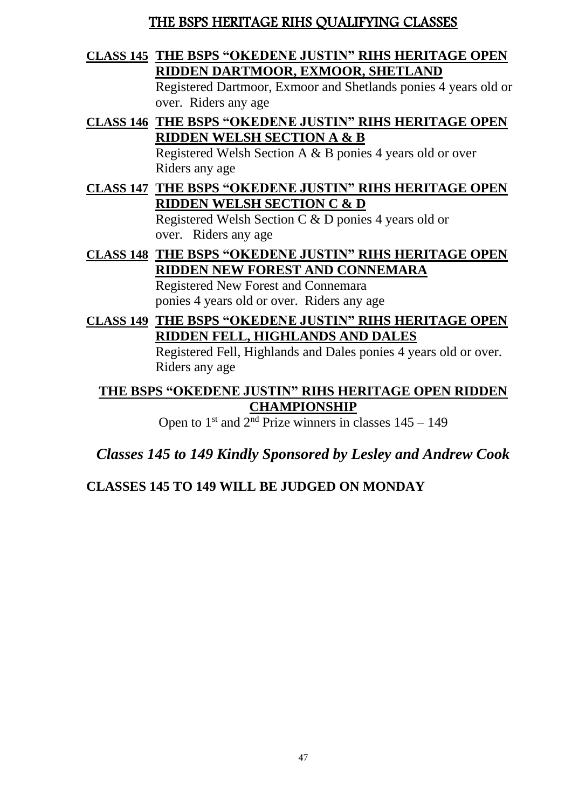## THE BSPS HERITAGE RIHS QUALIFYING CLASSES

#### **CLASS 145 THE BSPS "OKEDENE JUSTIN" RIHS HERITAGE OPEN RIDDEN DARTMOOR, EXMOOR, SHETLAND**

Registered Dartmoor, Exmoor and Shetlands ponies 4 years old or over. Riders any age

**CLASS 146 THE BSPS "OKEDENE JUSTIN" RIHS HERITAGE OPEN RIDDEN WELSH SECTION A & B**

Registered Welsh Section A & B ponies 4 years old or over Riders any age

### **CLASS 147 THE BSPS "OKEDENE JUSTIN" RIHS HERITAGE OPEN RIDDEN WELSH SECTION C & D**

Registered Welsh Section C & D ponies 4 years old or over. Riders any age

## **CLASS 148 THE BSPS "OKEDENE JUSTIN" RIHS HERITAGE OPEN RIDDEN NEW FOREST AND CONNEMARA**

Registered New Forest and Connemara ponies 4 years old or over. Riders any age

## **CLASS 149 THE BSPS "OKEDENE JUSTIN" RIHS HERITAGE OPEN RIDDEN FELL, HIGHLANDS AND DALES**

Registered Fell, Highlands and Dales ponies 4 years old or over. Riders any age

#### **THE BSPS "OKEDENE JUSTIN" RIHS HERITAGE OPEN RIDDEN CHAMPIONSHIP**

Open to  $1<sup>st</sup>$  and  $2<sup>nd</sup>$  Prize winners in classes  $145 - 149$ 

*Classes 145 to 149 Kindly Sponsored by Lesley and Andrew Cook*

## **CLASSES 145 TO 149 WILL BE JUDGED ON MONDAY**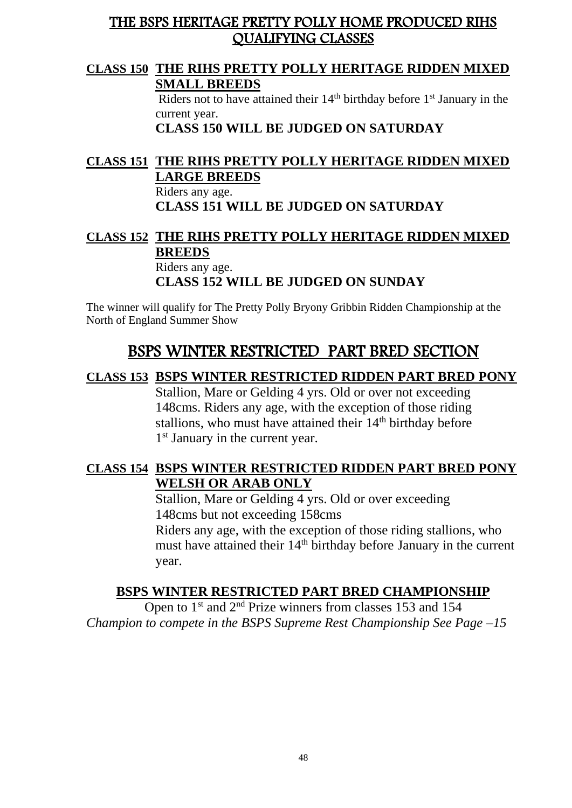### THE BSPS HERITAGE PRETTY POLLY HOME PRODUCED RIHS QUALIFYING CLASSES

#### **CLASS 150 THE RIHS PRETTY POLLY HERITAGE RIDDEN MIXED SMALL BREEDS**

Riders not to have attained their  $14<sup>th</sup>$  birthday before  $1<sup>st</sup>$  January in the current year.

**CLASS 150 WILL BE JUDGED ON SATURDAY**

#### **CLASS 151 THE RIHS PRETTY POLLY HERITAGE RIDDEN MIXED LARGE BREEDS**

Riders any age. **CLASS 151 WILL BE JUDGED ON SATURDAY**

#### **CLASS 152 THE RIHS PRETTY POLLY HERITAGE RIDDEN MIXED BREEDS**  Riders any age. **CLASS 152 WILL BE JUDGED ON SUNDAY**

The winner will qualify for The Pretty Polly Bryony Gribbin Ridden Championship at the North of England Summer Show

## BSPS WINTER RESTRICTED PART BRED SECTION

#### **CLASS 153 BSPS WINTER RESTRICTED RIDDEN PART BRED PONY**

Stallion, Mare or Gelding 4 yrs. Old or over not exceeding 148cms. Riders any age, with the exception of those riding stallions, who must have attained their  $14<sup>th</sup>$  birthday before 1<sup>st</sup> January in the current year.

#### **CLASS 154 BSPS WINTER RESTRICTED RIDDEN PART BRED PONY WELSH OR ARAB ONLY**

Stallion, Mare or Gelding 4 yrs. Old or over exceeding 148cms but not exceeding 158cms Riders any age, with the exception of those riding stallions, who must have attained their 14<sup>th</sup> birthday before January in the current year.

#### **BSPS WINTER RESTRICTED PART BRED CHAMPIONSHIP**

Open to  $1<sup>st</sup>$  and  $2<sup>nd</sup>$  Prize winners from classes 153 and 154 *Champion to compete in the BSPS Supreme Rest Championship See Page –15*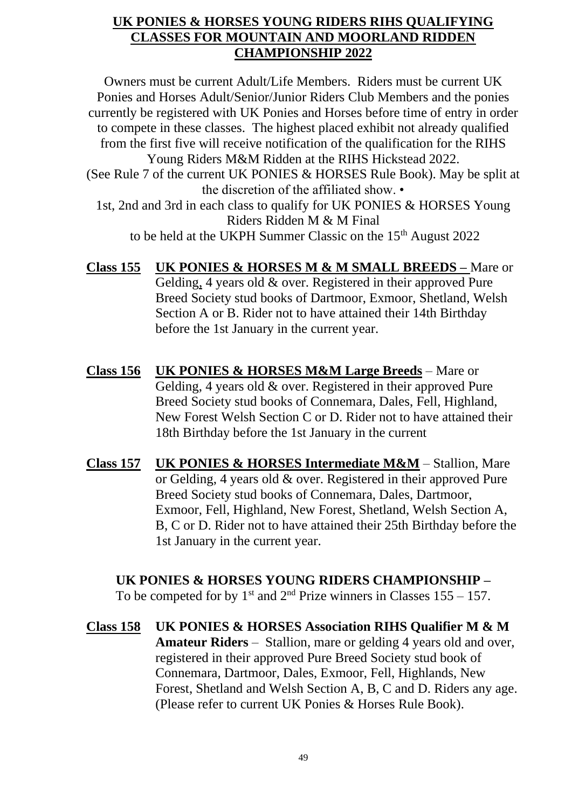#### **UK PONIES & HORSES YOUNG RIDERS RIHS QUALIFYING CLASSES FOR MOUNTAIN AND MOORLAND RIDDEN CHAMPIONSHIP 2022**

Owners must be current Adult/Life Members. Riders must be current UK Ponies and Horses Adult/Senior/Junior Riders Club Members and the ponies currently be registered with UK Ponies and Horses before time of entry in order to compete in these classes. The highest placed exhibit not already qualified from the first five will receive notification of the qualification for the RIHS Young Riders M&M Ridden at the RIHS Hickstead 2022. (See Rule 7 of the current UK PONIES & HORSES Rule Book). May be split at the discretion of the affiliated show. • 1st, 2nd and 3rd in each class to qualify for UK PONIES & HORSES Young Riders Ridden M & M Final to be held at the UKPH Summer Classic on the 15<sup>th</sup> August 2022

**Class 155 UK PONIES & HORSES M & M SMALL BREEDS –** Mare or Gelding, 4 years old & over. Registered in their approved Pure Breed Society stud books of Dartmoor, Exmoor, Shetland, Welsh Section A or B. Rider not to have attained their 14th Birthday before the 1st January in the current year.

- **Class 156 UK PONIES & HORSES M&M Large Breeds** Mare or Gelding, 4 years old & over. Registered in their approved Pure Breed Society stud books of Connemara, Dales, Fell, Highland, New Forest Welsh Section C or D. Rider not to have attained their 18th Birthday before the 1st January in the current
- **Class 157 UK PONIES & HORSES Intermediate M&M** Stallion, Mare or Gelding, 4 years old & over. Registered in their approved Pure Breed Society stud books of Connemara, Dales, Dartmoor, Exmoor, Fell, Highland, New Forest, Shetland, Welsh Section A, B, C or D. Rider not to have attained their 25th Birthday before the 1st January in the current year.

#### **UK PONIES & HORSES YOUNG RIDERS CHAMPIONSHIP –**

To be competed for by  $1<sup>st</sup>$  and  $2<sup>nd</sup>$  Prize winners in Classes 155 – 157.

**Class 158 UK PONIES & HORSES Association RIHS Qualifier M & M Amateur Riders** – Stallion, mare or gelding 4 years old and over, registered in their approved Pure Breed Society stud book of Connemara, Dartmoor, Dales, Exmoor, Fell, Highlands, New Forest, Shetland and Welsh Section A, B, C and D. Riders any age. (Please refer to current UK Ponies & Horses Rule Book).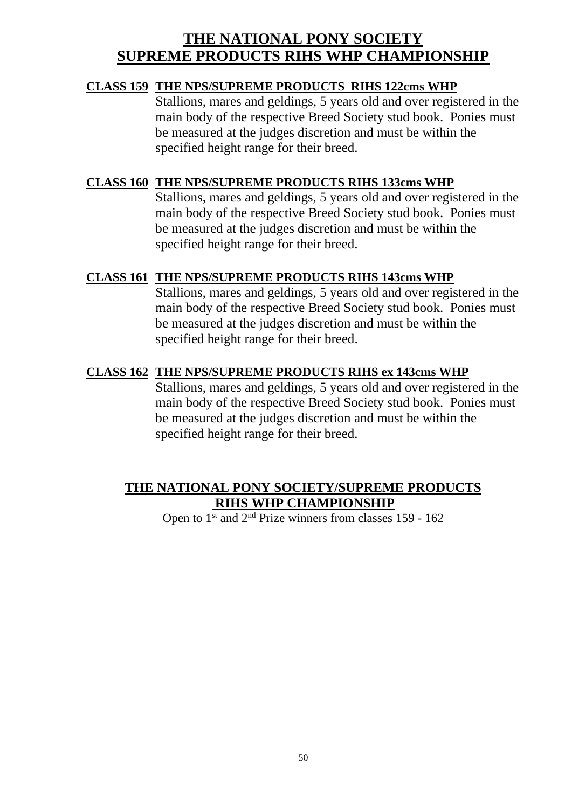## **THE NATIONAL PONY SOCIETY SUPREME PRODUCTS RIHS WHP CHAMPIONSHIP**

#### **CLASS 159 THE NPS/SUPREME PRODUCTS RIHS 122cms WHP**

Stallions, mares and geldings, 5 years old and over registered in the main body of the respective Breed Society stud book. Ponies must be measured at the judges discretion and must be within the specified height range for their breed.

#### **CLASS 160 THE NPS/SUPREME PRODUCTS RIHS 133cms WHP**

Stallions, mares and geldings, 5 years old and over registered in the main body of the respective Breed Society stud book. Ponies must be measured at the judges discretion and must be within the specified height range for their breed.

#### **CLASS 161 THE NPS/SUPREME PRODUCTS RIHS 143cms WHP**

Stallions, mares and geldings, 5 years old and over registered in the main body of the respective Breed Society stud book. Ponies must be measured at the judges discretion and must be within the specified height range for their breed.

#### **CLASS 162 THE NPS/SUPREME PRODUCTS RIHS ex 143cms WHP**

Stallions, mares and geldings, 5 years old and over registered in the main body of the respective Breed Society stud book. Ponies must be measured at the judges discretion and must be within the specified height range for their breed.

#### **THE NATIONAL PONY SOCIETY/SUPREME PRODUCTS RIHS WHP CHAMPIONSHIP**

Open to  $1^{\text{st}}$  and  $2^{\text{nd}}$  Prize winners from classes 159 - 162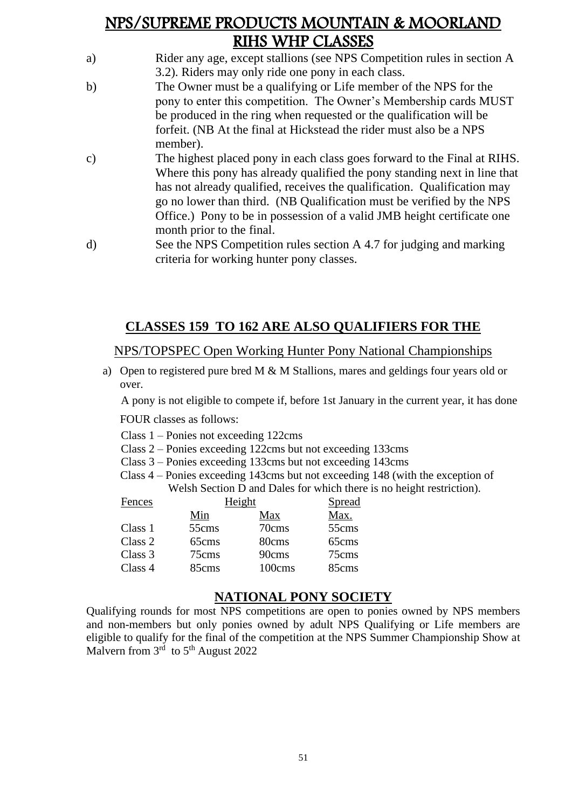## NPS/SUPREME PRODUCTS MOUNTAIN & MOORLAND RIHS WHP CLASSES

- a) Rider any age, except stallions (see NPS Competition rules in section A 3.2). Riders may only ride one pony in each class.
- b) The Owner must be a qualifying or Life member of the NPS for the pony to enter this competition. The Owner's Membership cards MUST be produced in the ring when requested or the qualification will be forfeit. (NB At the final at Hickstead the rider must also be a NPS member).
- c) The highest placed pony in each class goes forward to the Final at RIHS. Where this pony has already qualified the pony standing next in line that has not already qualified, receives the qualification. Qualification may go no lower than third. (NB Qualification must be verified by the NPS Office.) Pony to be in possession of a valid JMB height certificate one month prior to the final.
- d) See the NPS Competition rules section A 4.7 for judging and marking criteria for working hunter pony classes.

## **CLASSES 159 TO 162 ARE ALSO QUALIFIERS FOR THE**

#### NPS/TOPSPEC Open Working Hunter Pony National Championships

a) Open to registered pure bred M & M Stallions, mares and geldings four years old or over.

A pony is not eligible to compete if, before 1st January in the current year, it has done

FOUR classes as follows:

- Class 1 Ponies not exceeding 122cms
- Class 2 Ponies exceeding 122cms but not exceeding 133cms
- Class 3 Ponies exceeding 133cms but not exceeding 143cms
- Class 4 Ponies exceeding 143cms but not exceeding 148 (with the exception of Welsh Section D and Dales for which there is no height restriction).

| Fences  | Height |        | Spread |
|---------|--------|--------|--------|
|         | Min    | Max    | Max.   |
| Class 1 | 55cms  | 70cms  | 55cms  |
| Class 2 | 65cms  | 80cms  | 65cms  |
| Class 3 | 75cms  | 90cms  | 75cms  |
| Class 4 | 85cms  | 100cms | 85cms  |

#### **NATIONAL PONY SOCIETY**

Qualifying rounds for most NPS competitions are open to ponies owned by NPS members and non-members but only ponies owned by adult NPS Qualifying or Life members are eligible to qualify for the final of the competition at the NPS Summer Championship Show at Malvern from  $3<sup>rd</sup>$  to  $5<sup>th</sup>$  August 2022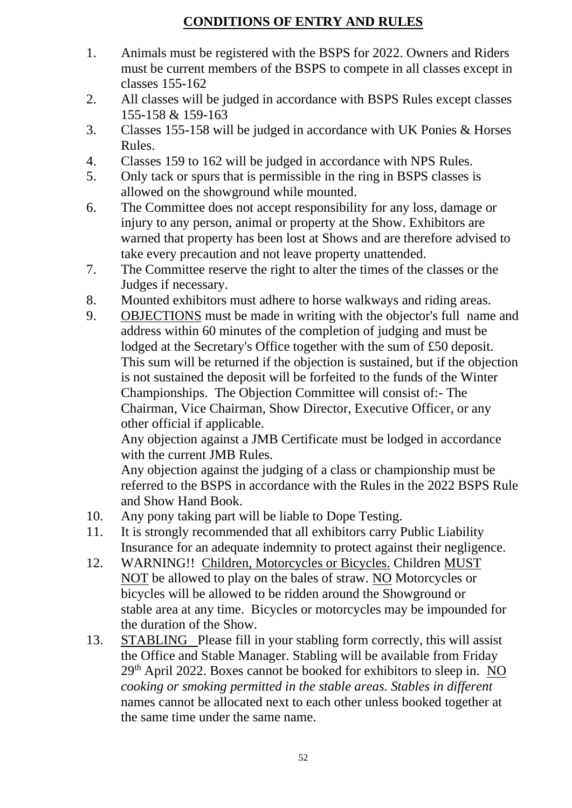## **CONDITIONS OF ENTRY AND RULES**

- 1. Animals must be registered with the BSPS for 2022. Owners and Riders must be current members of the BSPS to compete in all classes except in classes 155-162
- 2. All classes will be judged in accordance with BSPS Rules except classes 155-158 & 159-163
- 3. Classes 155-158 will be judged in accordance with UK Ponies & Horses Rules.
- 4. Classes 159 to 162 will be judged in accordance with NPS Rules.
- 5. Only tack or spurs that is permissible in the ring in BSPS classes is allowed on the showground while mounted.
- 6. The Committee does not accept responsibility for any loss, damage or injury to any person, animal or property at the Show. Exhibitors are warned that property has been lost at Shows and are therefore advised to take every precaution and not leave property unattended.
- 7. The Committee reserve the right to alter the times of the classes or the Judges if necessary.
- 8. Mounted exhibitors must adhere to horse walkways and riding areas.
- 9. OBJECTIONS must be made in writing with the objector's full name and address within 60 minutes of the completion of judging and must be lodged at the Secretary's Office together with the sum of £50 deposit. This sum will be returned if the objection is sustained, but if the objection is not sustained the deposit will be forfeited to the funds of the Winter Championships. The Objection Committee will consist of:- The Chairman, Vice Chairman, Show Director, Executive Officer, or any other official if applicable.

Any objection against a JMB Certificate must be lodged in accordance with the current JMB Rules.

Any objection against the judging of a class or championship must be referred to the BSPS in accordance with the Rules in the 2022 BSPS Rule and Show Hand Book.

- 10. Any pony taking part will be liable to Dope Testing.
- 11. It is strongly recommended that all exhibitors carry Public Liability Insurance for an adequate indemnity to protect against their negligence.
- 12. WARNING!! Children, Motorcycles or Bicycles. Children MUST NOT be allowed to play on the bales of straw. NO Motorcycles or bicycles will be allowed to be ridden around the Showground or stable area at any time. Bicycles or motorcycles may be impounded for the duration of the Show.
- 13. STABLING Please fill in your stabling form correctly, this will assist the Office and Stable Manager. Stabling will be available from Friday 29th April 2022. Boxes cannot be booked for exhibitors to sleep in. NO *cooking or smoking permitted in the stable areas. Stables in different* names cannot be allocated next to each other unless booked together at the same time under the same name.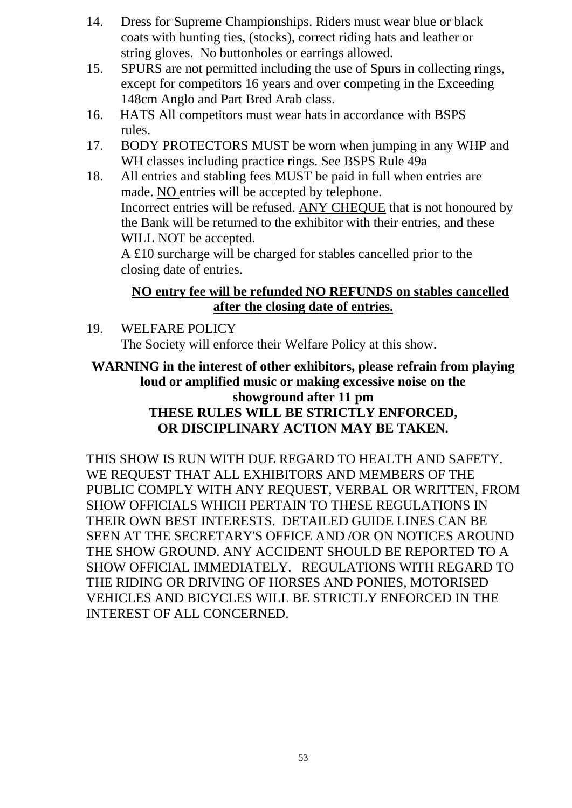- 14. Dress for Supreme Championships. Riders must wear blue or black coats with hunting ties, (stocks), correct riding hats and leather or string gloves. No buttonholes or earrings allowed.
- 15. SPURS are not permitted including the use of Spurs in collecting rings, except for competitors 16 years and over competing in the Exceeding 148cm Anglo and Part Bred Arab class.
- 16. HATS All competitors must wear hats in accordance with BSPS rules.
- 17. BODY PROTECTORS MUST be worn when jumping in any WHP and WH classes including practice rings. See BSPS Rule 49a
- 18. All entries and stabling fees MUST be paid in full when entries are made. NO entries will be accepted by telephone. Incorrect entries will be refused. ANY CHEQUE that is not honoured by the Bank will be returned to the exhibitor with their entries, and these WILL NOT be accepted.

A £10 surcharge will be charged for stables cancelled prior to the closing date of entries.

#### **NO entry fee will be refunded NO REFUNDS on stables cancelled after the closing date of entries.**

19. WELFARE POLICY The Society will enforce their Welfare Policy at this show.

#### **WARNING in the interest of other exhibitors, please refrain from playing loud or amplified music or making excessive noise on the showground after 11 pm THESE RULES WILL BE STRICTLY ENFORCED, OR DISCIPLINARY ACTION MAY BE TAKEN.**

THIS SHOW IS RUN WITH DUE REGARD TO HEALTH AND SAFETY. WE REQUEST THAT ALL EXHIBITORS AND MEMBERS OF THE PUBLIC COMPLY WITH ANY REQUEST, VERBAL OR WRITTEN, FROM SHOW OFFICIALS WHICH PERTAIN TO THESE REGULATIONS IN THEIR OWN BEST INTERESTS. DETAILED GUIDE LINES CAN BE SEEN AT THE SECRETARY'S OFFICE AND /OR ON NOTICES AROUND THE SHOW GROUND. ANY ACCIDENT SHOULD BE REPORTED TO A SHOW OFFICIAL IMMEDIATELY. REGULATIONS WITH REGARD TO THE RIDING OR DRIVING OF HORSES AND PONIES, MOTORISED VEHICLES AND BICYCLES WILL BE STRICTLY ENFORCED IN THE INTEREST OF ALL CONCERNED.